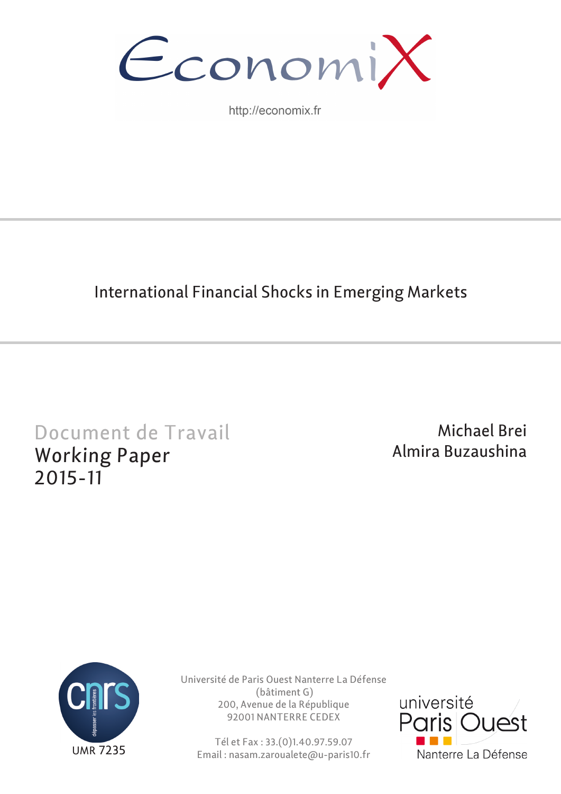

http://economix.fr

## International Financial Shocks in Emerging Markets

# Document de Travail Working Paper 2015-11

## Michael Brei Almira Buzaushina



Université de Paris Ouest Nanterre La Défense (bâtiment G) 200, Avenue de la République 92001 NANTERRE CEDEX

Tél et Fax : 33.(0)1.40.97.59.07 Email : nasam.zaroualete@u-paris10.fr

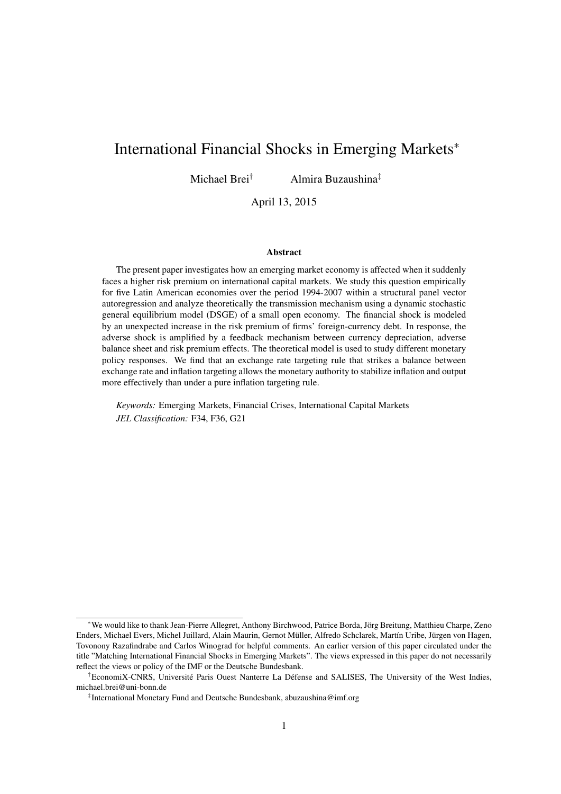## International Financial Shocks in Emerging Markets<sup>∗</sup>

Michael Brei† Almira Buzaushina‡

April 13, 2015

#### Abstract

The present paper investigates how an emerging market economy is affected when it suddenly faces a higher risk premium on international capital markets. We study this question empirically for five Latin American economies over the period 1994-2007 within a structural panel vector autoregression and analyze theoretically the transmission mechanism using a dynamic stochastic general equilibrium model (DSGE) of a small open economy. The financial shock is modeled by an unexpected increase in the risk premium of firms' foreign-currency debt. In response, the adverse shock is amplified by a feedback mechanism between currency depreciation, adverse balance sheet and risk premium effects. The theoretical model is used to study different monetary policy responses. We find that an exchange rate targeting rule that strikes a balance between exchange rate and inflation targeting allows the monetary authority to stabilize inflation and output more effectively than under a pure inflation targeting rule.

*Keywords:* Emerging Markets, Financial Crises, International Capital Markets *JEL Classification:* F34, F36, G21

<sup>∗</sup>We would like to thank Jean-Pierre Allegret, Anthony Birchwood, Patrice Borda, Jorg Breitung, Matthieu Charpe, Zeno ¨ Enders, Michael Evers, Michel Juillard, Alain Maurin, Gernot Müller, Alfredo Schclarek, Martín Uribe, Jürgen von Hagen, Tovonony Razafindrabe and Carlos Winograd for helpful comments. An earlier version of this paper circulated under the title "Matching International Financial Shocks in Emerging Markets". The views expressed in this paper do not necessarily reflect the views or policy of the IMF or the Deutsche Bundesbank.

 $^{\dagger}$ EconomiX-CNRS, Université Paris Ouest Nanterre La Défense and SALISES, The University of the West Indies, michael.brei@uni-bonn.de

<sup>‡</sup> International Monetary Fund and Deutsche Bundesbank, abuzaushina@imf.org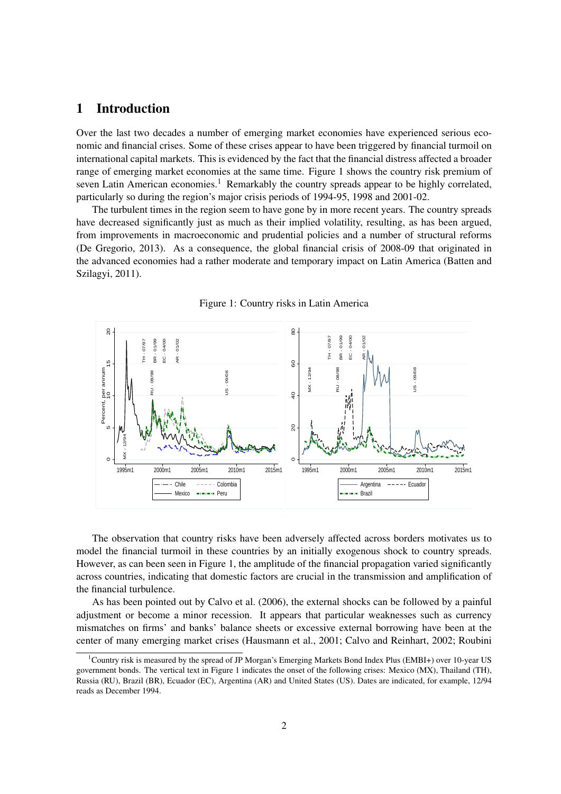### 1 Introduction

Over the last two decades a number of emerging market economies have experienced serious economic and financial crises. Some of these crises appear to have been triggered by financial turmoil on international capital markets. This is evidenced by the fact that the financial distress affected a broader range of emerging market economies at the same time. Figure 1 shows the country risk premium of seven Latin American economies.<sup>1</sup> Remarkably the country spreads appear to be highly correlated, particularly so during the region's major crisis periods of 1994-95, 1998 and 2001-02.

The turbulent times in the region seem to have gone by in more recent years. The country spreads have decreased significantly just as much as their implied volatility, resulting, as has been argued, from improvements in macroeconomic and prudential policies and a number of structural reforms (De Gregorio, 2013). As a consequence, the global financial crisis of 2008-09 that originated in the advanced economies had a rather moderate and temporary impact on Latin America (Batten and Szilagyi, 2011).



Figure 1: Country risks in Latin America

The observation that country risks have been adversely affected across borders motivates us to model the financial turmoil in these countries by an initially exogenous shock to country spreads. However, as can been seen in Figure 1, the amplitude of the financial propagation varied significantly across countries, indicating that domestic factors are crucial in the transmission and amplification of the financial turbulence.

As has been pointed out by Calvo et al. (2006), the external shocks can be followed by a painful adjustment or become a minor recession. It appears that particular weaknesses such as currency mismatches on firms' and banks' balance sheets or excessive external borrowing have been at the center of many emerging market crises (Hausmann et al., 2001; Calvo and Reinhart, 2002; Roubini

<sup>&</sup>lt;sup>1</sup>Country risk is measured by the spread of JP Morgan's Emerging Markets Bond Index Plus (EMBI+) over 10-year US government bonds. The vertical text in Figure 1 indicates the onset of the following crises: Mexico (MX), Thailand (TH), Russia (RU), Brazil (BR), Ecuador (EC), Argentina (AR) and United States (US). Dates are indicated, for example, 12/94 reads as December 1994.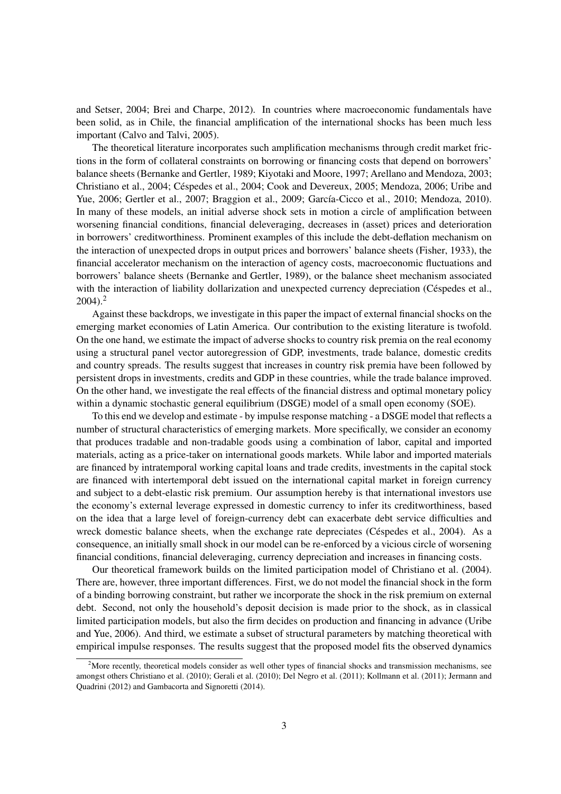and Setser, 2004; Brei and Charpe, 2012). In countries where macroeconomic fundamentals have been solid, as in Chile, the financial amplification of the international shocks has been much less important (Calvo and Talvi, 2005).

The theoretical literature incorporates such amplification mechanisms through credit market frictions in the form of collateral constraints on borrowing or financing costs that depend on borrowers' balance sheets (Bernanke and Gertler, 1989; Kiyotaki and Moore, 1997; Arellano and Mendoza, 2003; Christiano et al., 2004; Céspedes et al., 2004; Cook and Devereux, 2005; Mendoza, 2006; Uribe and Yue, 2006; Gertler et al., 2007; Braggion et al., 2009; García-Cicco et al., 2010; Mendoza, 2010). In many of these models, an initial adverse shock sets in motion a circle of amplification between worsening financial conditions, financial deleveraging, decreases in (asset) prices and deterioration in borrowers' creditworthiness. Prominent examples of this include the debt-deflation mechanism on the interaction of unexpected drops in output prices and borrowers' balance sheets (Fisher, 1933), the financial accelerator mechanism on the interaction of agency costs, macroeconomic fluctuations and borrowers' balance sheets (Bernanke and Gertler, 1989), or the balance sheet mechanism associated with the interaction of liability dollarization and unexpected currency depreciation (Céspedes et al.,  $2004$ ).<sup>2</sup>

Against these backdrops, we investigate in this paper the impact of external financial shocks on the emerging market economies of Latin America. Our contribution to the existing literature is twofold. On the one hand, we estimate the impact of adverse shocks to country risk premia on the real economy using a structural panel vector autoregression of GDP, investments, trade balance, domestic credits and country spreads. The results suggest that increases in country risk premia have been followed by persistent drops in investments, credits and GDP in these countries, while the trade balance improved. On the other hand, we investigate the real effects of the financial distress and optimal monetary policy within a dynamic stochastic general equilibrium (DSGE) model of a small open economy (SOE).

To this end we develop and estimate - by impulse response matching - a DSGE model that reflects a number of structural characteristics of emerging markets. More specifically, we consider an economy that produces tradable and non-tradable goods using a combination of labor, capital and imported materials, acting as a price-taker on international goods markets. While labor and imported materials are financed by intratemporal working capital loans and trade credits, investments in the capital stock are financed with intertemporal debt issued on the international capital market in foreign currency and subject to a debt-elastic risk premium. Our assumption hereby is that international investors use the economy's external leverage expressed in domestic currency to infer its creditworthiness, based on the idea that a large level of foreign-currency debt can exacerbate debt service difficulties and wreck domestic balance sheets, when the exchange rate depreciates (Céspedes et al., 2004). As a consequence, an initially small shock in our model can be re-enforced by a vicious circle of worsening financial conditions, financial deleveraging, currency depreciation and increases in financing costs.

Our theoretical framework builds on the limited participation model of Christiano et al. (2004). There are, however, three important differences. First, we do not model the financial shock in the form of a binding borrowing constraint, but rather we incorporate the shock in the risk premium on external debt. Second, not only the household's deposit decision is made prior to the shock, as in classical limited participation models, but also the firm decides on production and financing in advance (Uribe and Yue, 2006). And third, we estimate a subset of structural parameters by matching theoretical with empirical impulse responses. The results suggest that the proposed model fits the observed dynamics

 $2$ More recently, theoretical models consider as well other types of financial shocks and transmission mechanisms, see amongst others Christiano et al. (2010); Gerali et al. (2010); Del Negro et al. (2011); Kollmann et al. (2011); Jermann and Quadrini (2012) and Gambacorta and Signoretti (2014).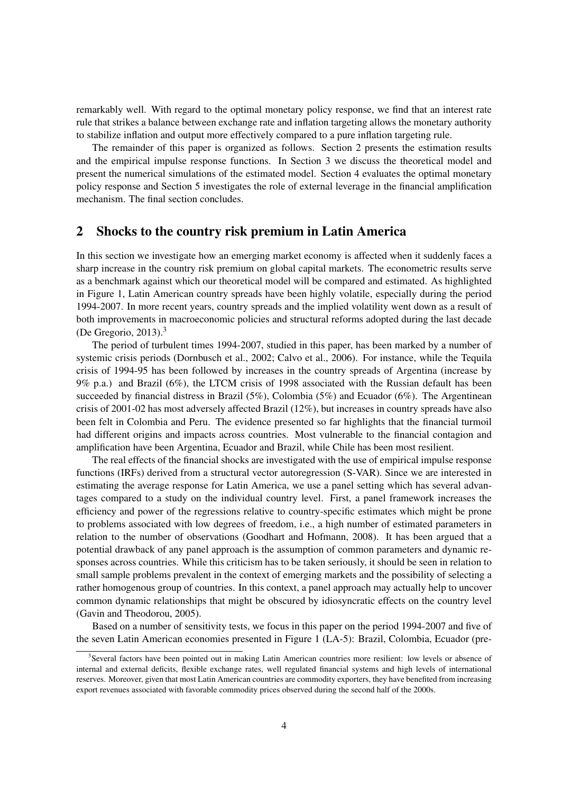remarkably well. With regard to the optimal monetary policy response, we find that an interest rate rule that strikes a balance between exchange rate and inflation targeting allows the monetary authority to stabilize inflation and output more effectively compared to a pure inflation targeting rule.

The remainder of this paper is organized as follows. Section 2 presents the estimation results and the empirical impulse response functions. In Section 3 we discuss the theoretical model and present the numerical simulations of the estimated model. Section 4 evaluates the optimal monetary policy response and Section 5 investigates the role of external leverage in the financial amplification mechanism. The final section concludes.

## 2 Shocks to the country risk premium in Latin America

In this section we investigate how an emerging market economy is affected when it suddenly faces a sharp increase in the country risk premium on global capital markets. The econometric results serve as a benchmark against which our theoretical model will be compared and estimated. As highlighted in Figure 1, Latin American country spreads have been highly volatile, especially during the period 1994-2007. In more recent years, country spreads and the implied volatility went down as a result of both improvements in macroeconomic policies and structural reforms adopted during the last decade (De Gregorio, 2013).<sup>3</sup>

The period of turbulent times 1994-2007, studied in this paper, has been marked by a number of systemic crisis periods (Dornbusch et al., 2002; Calvo et al., 2006). For instance, while the Tequila crisis of 1994-95 has been followed by increases in the country spreads of Argentina (increase by 9% p.a.) and Brazil (6%), the LTCM crisis of 1998 associated with the Russian default has been succeeded by financial distress in Brazil  $(5\%)$ , Colombia  $(5\%)$  and Ecuador  $(6\%)$ . The Argentinean crisis of 2001-02 has most adversely affected Brazil (12%), but increases in country spreads have also been felt in Colombia and Peru. The evidence presented so far highlights that the financial turmoil had different origins and impacts across countries. Most vulnerable to the financial contagion and amplification have been Argentina, Ecuador and Brazil, while Chile has been most resilient.

The real effects of the financial shocks are investigated with the use of empirical impulse response functions (IRFs) derived from a structural vector autoregression (S-VAR). Since we are interested in estimating the average response for Latin America, we use a panel setting which has several advantages compared to a study on the individual country level. First, a panel framework increases the efficiency and power of the regressions relative to country-specific estimates which might be prone to problems associated with low degrees of freedom, i.e., a high number of estimated parameters in relation to the number of observations (Goodhart and Hofmann, 2008). It has been argued that a potential drawback of any panel approach is the assumption of common parameters and dynamic responses across countries. While this criticism has to be taken seriously, it should be seen in relation to small sample problems prevalent in the context of emerging markets and the possibility of selecting a rather homogenous group of countries. In this context, a panel approach may actually help to uncover common dynamic relationships that might be obscured by idiosyncratic effects on the country level (Gavin and Theodorou, 2005).

Based on a number of sensitivity tests, we focus in this paper on the period 1994-2007 and five of the seven Latin American economies presented in Figure 1 (LA-5): Brazil, Colombia, Ecuador (pre-

<sup>&</sup>lt;sup>3</sup>Several factors have been pointed out in making Latin American countries more resilient: low levels or absence of internal and external deficits, flexible exchange rates, well regulated financial systems and high levels of international reserves. Moreover, given that most Latin American countries are commodity exporters, they have benefited from increasing export revenues associated with favorable commodity prices observed during the second half of the 2000s.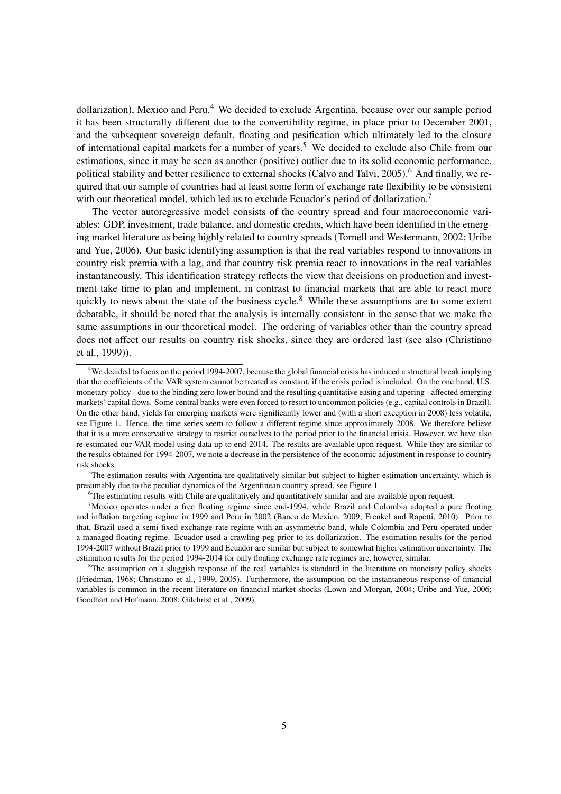dollarization), Mexico and Peru.<sup>4</sup> We decided to exclude Argentina, because over our sample period it has been structurally different due to the convertibility regime, in place prior to December 2001, and the subsequent sovereign default, floating and pesification which ultimately led to the closure of international capital markets for a number of years.<sup>5</sup> We decided to exclude also Chile from our estimations, since it may be seen as another (positive) outlier due to its solid economic performance, political stability and better resilience to external shocks (Calvo and Talvi, 2005).<sup>6</sup> And finally, we required that our sample of countries had at least some form of exchange rate flexibility to be consistent with our theoretical model, which led us to exclude Ecuador's period of dollarization.<sup>7</sup>

The vector autoregressive model consists of the country spread and four macroeconomic variables: GDP, investment, trade balance, and domestic credits, which have been identified in the emerging market literature as being highly related to country spreads (Tornell and Westermann, 2002; Uribe and Yue, 2006). Our basic identifying assumption is that the real variables respond to innovations in country risk premia with a lag, and that country risk premia react to innovations in the real variables instantaneously. This identification strategy reflects the view that decisions on production and investment take time to plan and implement, in contrast to financial markets that are able to react more quickly to news about the state of the business cycle.<sup>8</sup> While these assumptions are to some extent debatable, it should be noted that the analysis is internally consistent in the sense that we make the same assumptions in our theoretical model. The ordering of variables other than the country spread does not affect our results on country risk shocks, since they are ordered last (see also (Christiano et al., 1999)).

<sup>5</sup>The estimation results with Argentina are qualitatively similar but subject to higher estimation uncertainty, which is presumably due to the peculiar dynamics of the Argentinean country spread, see Figure 1.

<sup>6</sup>The estimation results with Chile are qualitatively and quantitatively similar and are available upon request.

<sup>&</sup>lt;sup>4</sup>We decided to focus on the period 1994-2007, because the global financial crisis has induced a structural break implying that the coefficients of the VAR system cannot be treated as constant, if the crisis period is included. On the one hand, U.S. monetary policy - due to the binding zero lower bound and the resulting quantitative easing and tapering - affected emerging markets' capital flows. Some central banks were even forced to resort to uncommon policies (e.g., capital controls in Brazil). On the other hand, yields for emerging markets were significantly lower and (with a short exception in 2008) less volatile, see Figure 1. Hence, the time series seem to follow a different regime since approximately 2008. We therefore believe that it is a more conservative strategy to restrict ourselves to the period prior to the financial crisis. However, we have also re-estimated our VAR model using data up to end-2014. The results are available upon request. While they are similar to the results obtained for 1994-2007, we note a decrease in the persistence of the economic adjustment in response to country risk shocks.

<sup>&</sup>lt;sup>7</sup>Mexico operates under a free floating regime since end-1994, while Brazil and Colombia adopted a pure floating and inflation targeting regime in 1999 and Peru in 2002 (Banco de Mexico, 2009; Frenkel and Rapetti, 2010). Prior to that, Brazil used a semi-fixed exchange rate regime with an asymmetric band, while Colombia and Peru operated under a managed floating regime. Ecuador used a crawling peg prior to its dollarization. The estimation results for the period 1994-2007 without Brazil prior to 1999 and Ecuador are similar but subject to somewhat higher estimation uncertainty. The estimation results for the period 1994-2014 for only floating exchange rate regimes are, however, similar.

<sup>&</sup>lt;sup>8</sup>The assumption on a sluggish response of the real variables is standard in the literature on monetary policy shocks (Friedman, 1968; Christiano et al., 1999, 2005). Furthermore, the assumption on the instantaneous response of financial variables is common in the recent literature on financial market shocks (Lown and Morgan, 2004; Uribe and Yue, 2006; Goodhart and Hofmann, 2008; Gilchrist et al., 2009).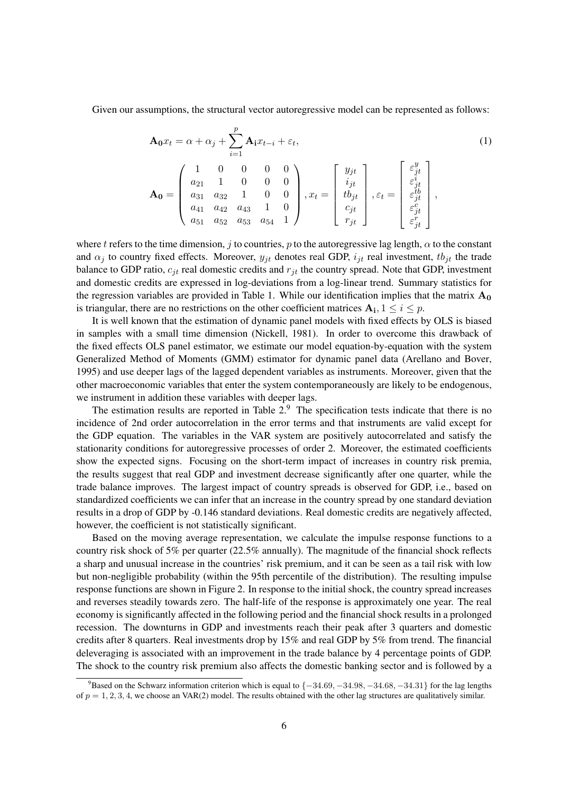Given our assumptions, the structural vector autoregressive model can be represented as follows:

$$
\mathbf{A_0}x_t = \alpha + \alpha_j + \sum_{i=1}^p \mathbf{A_i}x_{t-i} + \varepsilon_t,
$$
\n(1)\n
$$
\mathbf{A_0} = \begin{pmatrix}\n1 & 0 & 0 & 0 & 0 \\
a_{21} & 1 & 0 & 0 & 0 \\
a_{31} & a_{32} & 1 & 0 & 0 \\
a_{41} & a_{42} & a_{43} & 1 & 0 \\
a_{51} & a_{52} & a_{53} & a_{54} & 1\n\end{pmatrix}, x_t = \begin{bmatrix}\ny_{jt} \\
i_{jt} \\
t_{0jt} \\
c_{jt} \\
r_{jt}\n\end{bmatrix}, \varepsilon_t = \begin{bmatrix}\n\varepsilon_y^y \\
\varepsilon_{jt}^t \\
\varepsilon_{jt}^t \\
\varepsilon_{jt}^c \\
\varepsilon_{jt}^c \\
\varepsilon_{jt}^c\n\end{bmatrix},
$$
\n(1)

where t refers to the time dimension, j to countries, p to the autoregressive lag length,  $\alpha$  to the constant and  $\alpha_i$  to country fixed effects. Moreover,  $y_{it}$  denotes real GDP,  $i_{it}$  real investment,  $t_{it}$  the trade balance to GDP ratio,  $c_{it}$  real domestic credits and  $r_{it}$  the country spread. Note that GDP, investment and domestic credits are expressed in log-deviations from a log-linear trend. Summary statistics for the regression variables are provided in Table 1. While our identification implies that the matrix  $A_0$ is triangular, there are no restrictions on the other coefficient matrices  $A_i, 1 \le i \le p$ .

It is well known that the estimation of dynamic panel models with fixed effects by OLS is biased in samples with a small time dimension (Nickell, 1981). In order to overcome this drawback of the fixed effects OLS panel estimator, we estimate our model equation-by-equation with the system Generalized Method of Moments (GMM) estimator for dynamic panel data (Arellano and Bover, 1995) and use deeper lags of the lagged dependent variables as instruments. Moreover, given that the other macroeconomic variables that enter the system contemporaneously are likely to be endogenous, we instrument in addition these variables with deeper lags.

The estimation results are reported in Table  $2<sup>9</sup>$ . The specification tests indicate that there is no incidence of 2nd order autocorrelation in the error terms and that instruments are valid except for the GDP equation. The variables in the VAR system are positively autocorrelated and satisfy the stationarity conditions for autoregressive processes of order 2. Moreover, the estimated coefficients show the expected signs. Focusing on the short-term impact of increases in country risk premia, the results suggest that real GDP and investment decrease significantly after one quarter, while the trade balance improves. The largest impact of country spreads is observed for GDP, i.e., based on standardized coefficients we can infer that an increase in the country spread by one standard deviation results in a drop of GDP by -0.146 standard deviations. Real domestic credits are negatively affected, however, the coefficient is not statistically significant.

Based on the moving average representation, we calculate the impulse response functions to a country risk shock of 5% per quarter (22.5% annually). The magnitude of the financial shock reflects a sharp and unusual increase in the countries' risk premium, and it can be seen as a tail risk with low but non-negligible probability (within the 95th percentile of the distribution). The resulting impulse response functions are shown in Figure 2. In response to the initial shock, the country spread increases and reverses steadily towards zero. The half-life of the response is approximately one year. The real economy is significantly affected in the following period and the financial shock results in a prolonged recession. The downturns in GDP and investments reach their peak after 3 quarters and domestic credits after 8 quarters. Real investments drop by 15% and real GDP by 5% from trend. The financial deleveraging is associated with an improvement in the trade balance by 4 percentage points of GDP. The shock to the country risk premium also affects the domestic banking sector and is followed by a

<sup>&</sup>lt;sup>9</sup>Based on the Schwarz information criterion which is equal to  $\{-34.69, -34.98, -34.68, -34.31\}$  for the lag lengths of  $p = 1, 2, 3, 4$ , we choose an VAR(2) model. The results obtained with the other lag structures are qualitatively similar.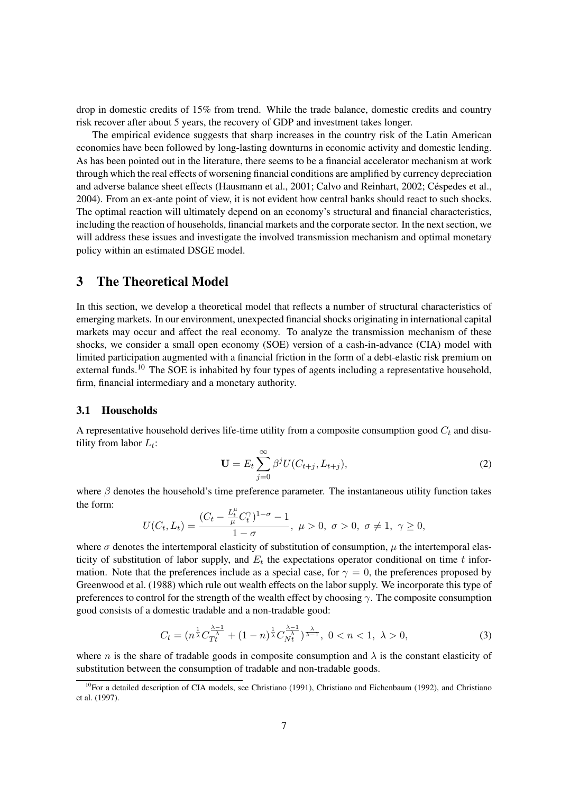drop in domestic credits of 15% from trend. While the trade balance, domestic credits and country risk recover after about 5 years, the recovery of GDP and investment takes longer.

The empirical evidence suggests that sharp increases in the country risk of the Latin American economies have been followed by long-lasting downturns in economic activity and domestic lending. As has been pointed out in the literature, there seems to be a financial accelerator mechanism at work through which the real effects of worsening financial conditions are amplified by currency depreciation and adverse balance sheet effects (Hausmann et al., 2001; Calvo and Reinhart, 2002; Céspedes et al., 2004). From an ex-ante point of view, it is not evident how central banks should react to such shocks. The optimal reaction will ultimately depend on an economy's structural and financial characteristics, including the reaction of households, financial markets and the corporate sector. In the next section, we will address these issues and investigate the involved transmission mechanism and optimal monetary policy within an estimated DSGE model.

## 3 The Theoretical Model

In this section, we develop a theoretical model that reflects a number of structural characteristics of emerging markets. In our environment, unexpected financial shocks originating in international capital markets may occur and affect the real economy. To analyze the transmission mechanism of these shocks, we consider a small open economy (SOE) version of a cash-in-advance (CIA) model with limited participation augmented with a financial friction in the form of a debt-elastic risk premium on external funds.<sup>10</sup> The SOE is inhabited by four types of agents including a representative household, firm, financial intermediary and a monetary authority.

#### 3.1 Households

A representative household derives life-time utility from a composite consumption good  $C_t$  and disutility from labor  $L_t$ :

$$
\mathbf{U} = E_t \sum_{j=0}^{\infty} \beta^j U(C_{t+j}, L_{t+j}), \qquad (2)
$$

where  $\beta$  denotes the household's time preference parameter. The instantaneous utility function takes the form:

$$
U(C_t, L_t) = \frac{(C_t - \frac{L_t^{\mu}}{\mu} C_t^{\gamma})^{1-\sigma} - 1}{1 - \sigma}, \ \mu > 0, \ \sigma > 0, \ \sigma \neq 1, \ \gamma \ge 0,
$$

where  $\sigma$  denotes the intertemporal elasticity of substitution of consumption,  $\mu$  the intertemporal elasticity of substitution of labor supply, and  $E_t$  the expectations operator conditional on time t information. Note that the preferences include as a special case, for  $\gamma = 0$ , the preferences proposed by Greenwood et al. (1988) which rule out wealth effects on the labor supply. We incorporate this type of preferences to control for the strength of the wealth effect by choosing  $\gamma$ . The composite consumption good consists of a domestic tradable and a non-tradable good:

$$
C_t = \left(n^{\frac{1}{\lambda}} C_{Tt}^{\frac{\lambda - 1}{\lambda}} + (1 - n)^{\frac{1}{\lambda}} C_{Nt}^{\frac{\lambda - 1}{\lambda}}\right)^{\frac{\lambda}{\lambda - 1}}, \ 0 < n < 1, \ \lambda > 0,\tag{3}
$$

where n is the share of tradable goods in composite consumption and  $\lambda$  is the constant elasticity of substitution between the consumption of tradable and non-tradable goods.

 $10$ For a detailed description of CIA models, see Christiano (1991), Christiano and Eichenbaum (1992), and Christiano et al. (1997).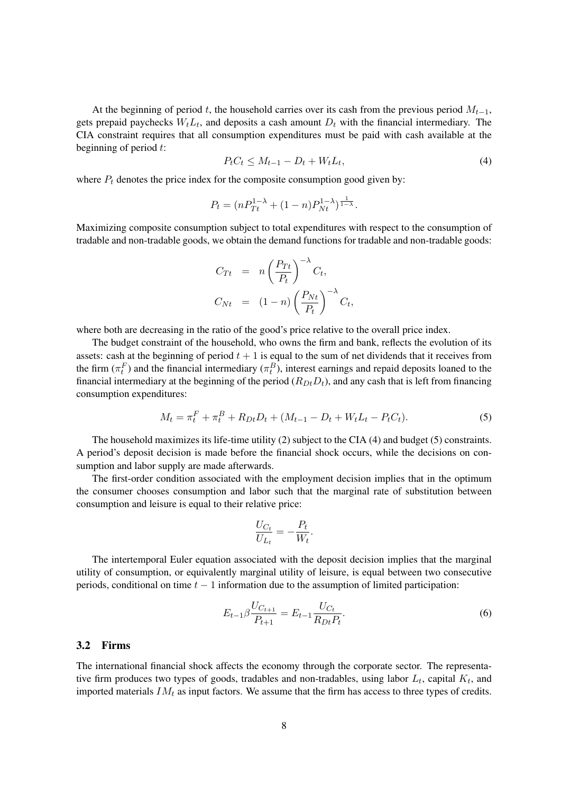At the beginning of period t, the household carries over its cash from the previous period  $M_{t-1}$ , gets prepaid paychecks  $W_t L_t$ , and deposits a cash amount  $D_t$  with the financial intermediary. The CIA constraint requires that all consumption expenditures must be paid with cash available at the beginning of period  $t$ :

$$
P_t C_t \le M_{t-1} - D_t + W_t L_t,\tag{4}
$$

,

where  $P_t$  denotes the price index for the composite consumption good given by:

$$
P_t = (nP_{Tt}^{1-\lambda} + (1-n)P_{Nt}^{1-\lambda})^{\frac{1}{1-\lambda}}.
$$

Maximizing composite consumption subject to total expenditures with respect to the consumption of tradable and non-tradable goods, we obtain the demand functions for tradable and non-tradable goods:

$$
C_{Tt} = n \left(\frac{P_{Tt}}{P_t}\right)^{-\lambda} C_t,
$$
  

$$
C_{Nt} = (1-n) \left(\frac{P_{Nt}}{P_t}\right)^{-\lambda} C_t
$$

where both are decreasing in the ratio of the good's price relative to the overall price index.

The budget constraint of the household, who owns the firm and bank, reflects the evolution of its assets: cash at the beginning of period  $t + 1$  is equal to the sum of net dividends that it receives from the firm  $(\pi_t^F)$  and the financial intermediary  $(\pi_t^B)$ , interest earnings and repaid deposits loaned to the financial intermediary at the beginning of the period  $(R_{Dt}D_t)$ , and any cash that is left from financing consumption expenditures:

$$
M_t = \pi_t^F + \pi_t^B + R_{Dt}D_t + (M_{t-1} - D_t + W_t L_t - P_t C_t).
$$
\n(5)

The household maximizes its life-time utility (2) subject to the CIA (4) and budget (5) constraints. A period's deposit decision is made before the financial shock occurs, while the decisions on consumption and labor supply are made afterwards.

The first-order condition associated with the employment decision implies that in the optimum the consumer chooses consumption and labor such that the marginal rate of substitution between consumption and leisure is equal to their relative price:

$$
\frac{U_{C_t}}{U_{L_t}} = -\frac{P_t}{W_t}.
$$

The intertemporal Euler equation associated with the deposit decision implies that the marginal utility of consumption, or equivalently marginal utility of leisure, is equal between two consecutive periods, conditional on time  $t - 1$  information due to the assumption of limited participation:

$$
E_{t-1}\beta \frac{U_{C_{t+1}}}{P_{t+1}} = E_{t-1} \frac{U_{C_t}}{R_{Dt}P_t}.
$$
\n
$$
(6)
$$

#### 3.2 Firms

The international financial shock affects the economy through the corporate sector. The representative firm produces two types of goods, tradables and non-tradables, using labor  $L_t$ , capital  $K_t$ , and imported materials  $IM_t$  as input factors. We assume that the firm has access to three types of credits.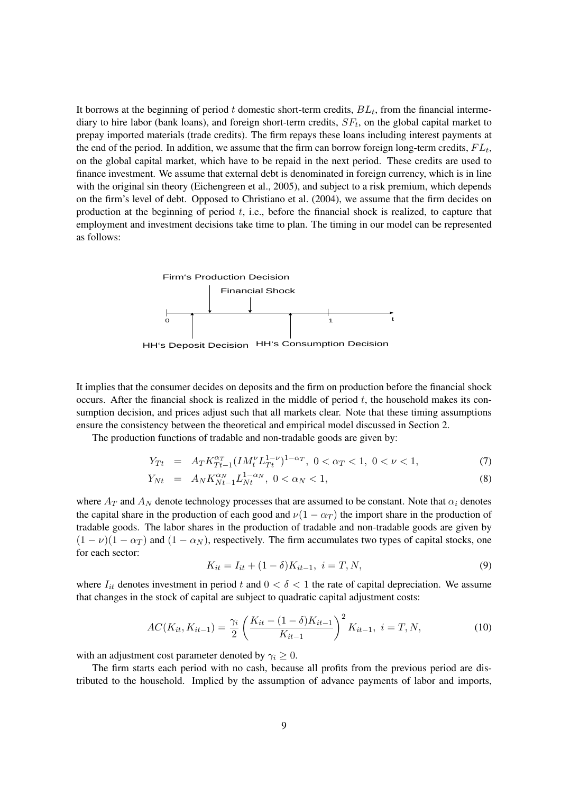It borrows at the beginning of period  $t$  domestic short-term credits,  $BL<sub>t</sub>$ , from the financial intermediary to hire labor (bank loans), and foreign short-term credits,  $SF_t$ , on the global capital market to prepay imported materials (trade credits). The firm repays these loans including interest payments at the end of the period. In addition, we assume that the firm can borrow foreign long-term credits,  $FL_t$ , on the global capital market, which have to be repaid in the next period. These credits are used to finance investment. We assume that external debt is denominated in foreign currency, which is in line with the original sin theory (Eichengreen et al., 2005), and subject to a risk premium, which depends on the firm's level of debt. Opposed to Christiano et al. (2004), we assume that the firm decides on production at the beginning of period  $t$ , i.e., before the financial shock is realized, to capture that employment and investment decisions take time to plan. The timing in our model can be represented as follows:



HH's Deposit Decision HH's Consumption Decision

It implies that the consumer decides on deposits and the firm on production before the financial shock occurs. After the financial shock is realized in the middle of period  $t$ , the household makes its consumption decision, and prices adjust such that all markets clear. Note that these timing assumptions ensure the consistency between the theoretical and empirical model discussed in Section 2.

The production functions of tradable and non-tradable goods are given by:

$$
Y_{Tt} = A_T K_{Tt-1}^{\alpha_T} (I M_t^{\nu} L_{Tt}^{1-\nu})^{1-\alpha_T}, \ 0 < \alpha_T < 1, \ 0 < \nu < 1,
$$
 (7)

$$
Y_{Nt} = A_N K_{Nt-1}^{\alpha_N} L_{Nt}^{1-\alpha_N}, \ 0 < \alpha_N < 1,\tag{8}
$$

where  $A_T$  and  $A_N$  denote technology processes that are assumed to be constant. Note that  $\alpha_i$  denotes the capital share in the production of each good and  $\nu(1 - \alpha_T)$  the import share in the production of tradable goods. The labor shares in the production of tradable and non-tradable goods are given by  $(1 - \nu)(1 - \alpha_T)$  and  $(1 - \alpha_N)$ , respectively. The firm accumulates two types of capital stocks, one for each sector:

$$
K_{it} = I_{it} + (1 - \delta)K_{it-1}, \ i = T, N,
$$
\n(9)

where  $I_{it}$  denotes investment in period t and  $0 < \delta < 1$  the rate of capital depreciation. We assume that changes in the stock of capital are subject to quadratic capital adjustment costs:

$$
AC(K_{it}, K_{it-1}) = \frac{\gamma_i}{2} \left( \frac{K_{it} - (1 - \delta)K_{it-1}}{K_{it-1}} \right)^2 K_{it-1}, \ i = T, N,
$$
\n(10)

with an adjustment cost parameter denoted by  $\gamma_i \geq 0$ .

The firm starts each period with no cash, because all profits from the previous period are distributed to the household. Implied by the assumption of advance payments of labor and imports,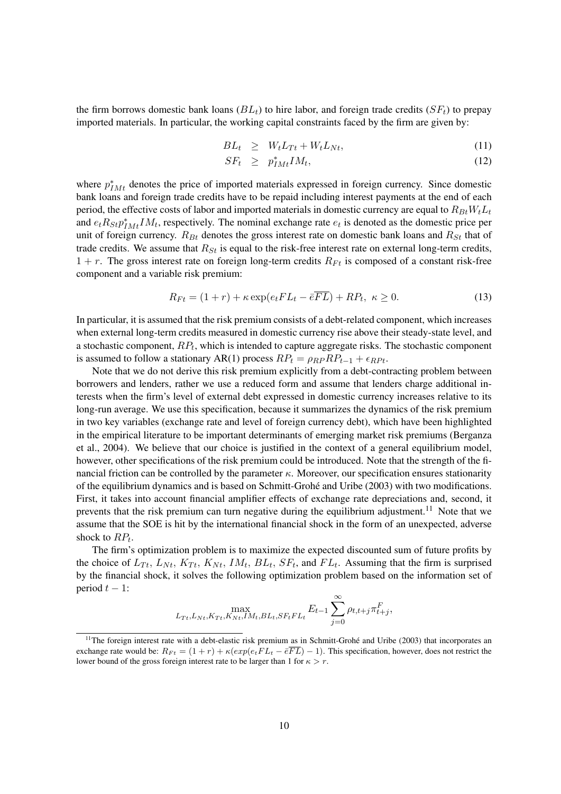the firm borrows domestic bank loans  $(BL_t)$  to hire labor, and foreign trade credits  $(SF_t)$  to prepay imported materials. In particular, the working capital constraints faced by the firm are given by:

$$
BL_t \geq W_t L_{Tt} + W_t L_{Nt}, \tag{11}
$$

$$
SF_t \geq p_{IMt}^* IM_t,\tag{12}
$$

where  $p_{IMt}^*$  denotes the price of imported materials expressed in foreign currency. Since domestic bank loans and foreign trade credits have to be repaid including interest payments at the end of each period, the effective costs of labor and imported materials in domestic currency are equal to  $R_{Bt}W_tL_t$ and  $e_t R_{St} p_{IMt}^* IM_t$ , respectively. The nominal exchange rate  $e_t$  is denoted as the domestic price per unit of foreign currency.  $R_{Bt}$  denotes the gross interest rate on domestic bank loans and  $R_{St}$  that of trade credits. We assume that  $R_{St}$  is equal to the risk-free interest rate on external long-term credits,  $1 + r$ . The gross interest rate on foreign long-term credits  $R_{Ft}$  is composed of a constant risk-free component and a variable risk premium:

$$
R_{Ft} = (1+r) + \kappa \exp(e_t FL_t - \bar{e}FL) + RP_t, \ \kappa \ge 0. \tag{13}
$$

In particular, it is assumed that the risk premium consists of a debt-related component, which increases when external long-term credits measured in domestic currency rise above their steady-state level, and a stochastic component,  $RP_t$ , which is intended to capture aggregate risks. The stochastic component is assumed to follow a stationary AR(1) process  $RP_t = \rho_R PRP_{t-1} + \epsilon_R P_t$ .

Note that we do not derive this risk premium explicitly from a debt-contracting problem between borrowers and lenders, rather we use a reduced form and assume that lenders charge additional interests when the firm's level of external debt expressed in domestic currency increases relative to its long-run average. We use this specification, because it summarizes the dynamics of the risk premium in two key variables (exchange rate and level of foreign currency debt), which have been highlighted in the empirical literature to be important determinants of emerging market risk premiums (Berganza et al., 2004). We believe that our choice is justified in the context of a general equilibrium model, however, other specifications of the risk premium could be introduced. Note that the strength of the financial friction can be controlled by the parameter  $\kappa$ . Moreover, our specification ensures stationarity of the equilibrium dynamics and is based on Schmitt-Grohe and Uribe (2003) with two modifications. ´ First, it takes into account financial amplifier effects of exchange rate depreciations and, second, it prevents that the risk premium can turn negative during the equilibrium adjustment.<sup>11</sup> Note that we assume that the SOE is hit by the international financial shock in the form of an unexpected, adverse shock to  $RP_t$ .

The firm's optimization problem is to maximize the expected discounted sum of future profits by the choice of  $L_{Tt}$ ,  $L_{Nt}$ ,  $K_{Tt}$ ,  $K_{Nt}$ ,  $IM_t$ ,  $BL_t$ ,  $SF_t$ , and  $FL_t$ . Assuming that the firm is surprised by the financial shock, it solves the following optimization problem based on the information set of period  $t - 1$ :

$$
\max_{L_{Tt}, L_{Nt}, K_{Tt}, K_{Nt}, IM_t, BL_t, SF_tL_t} E_{t-1} \sum_{j=0}^{\infty} \rho_{t,t+j} \pi_{t+j}^F,
$$

<sup>&</sup>lt;sup>11</sup>The foreign interest rate with a debt-elastic risk premium as in Schmitt-Grohé and Uribe (2003) that incorporates an exchange rate would be:  $R_{Ft} = (1+r) + \kappa(exp(e_t FL_t - \bar{e}\bar{FL}) - 1)$ . This specification, however, does not restrict the lower bound of the gross foreign interest rate to be larger than 1 for  $\kappa > r$ .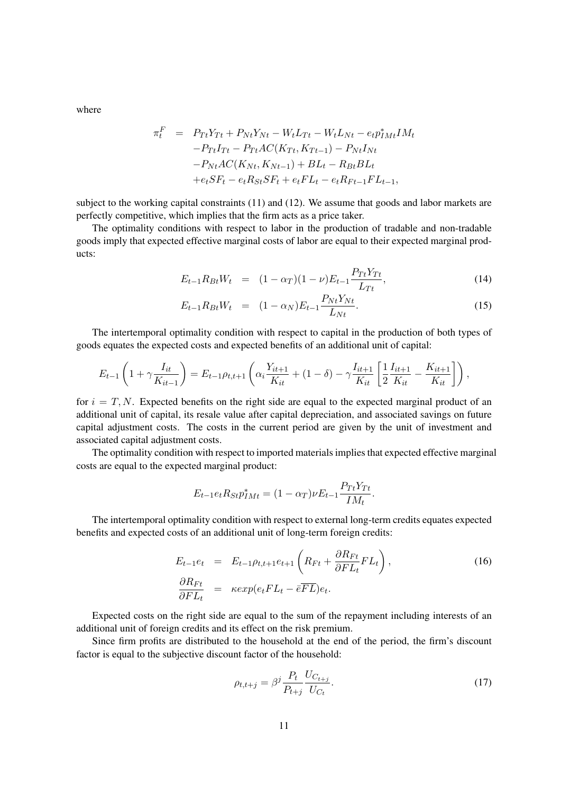where

$$
\pi_t^F = P_{Tt}Y_{Tt} + P_{Nt}Y_{Nt} - W_t L_{Tt} - W_t L_{Nt} - e_t p_{IMt}^* IM_t \n- P_{Tt}I_{Tt} - P_{Tt}AC(K_{Tt}, K_{Tt-1}) - P_{Nt}I_{Nt} \n- P_{Nt}AC(K_{Nt}, K_{Nt-1}) + BL_t - R_{Bt}BL_t \n+ e_t SF_t - e_t R_{St} SF_t + e_t FL_t - e_t R_{Ft-1} FL_{t-1},
$$

subject to the working capital constraints (11) and (12). We assume that goods and labor markets are perfectly competitive, which implies that the firm acts as a price taker.

The optimality conditions with respect to labor in the production of tradable and non-tradable goods imply that expected effective marginal costs of labor are equal to their expected marginal products:

$$
E_{t-1}R_{Bt}W_t = (1 - \alpha_T)(1 - \nu)E_{t-1}\frac{P_{Tt}Y_{Tt}}{L_{Tt}},
$$
\n(14)

$$
E_{t-1}R_{Bt}W_t = (1 - \alpha_N)E_{t-1} \frac{P_{Nt}Y_{Nt}}{L_{Nt}}.
$$
\n(15)

The intertemporal optimality condition with respect to capital in the production of both types of goods equates the expected costs and expected benefits of an additional unit of capital:

$$
E_{t-1}\left(1+\gamma\frac{I_{it}}{K_{it-1}}\right)=E_{t-1}\rho_{t,t+1}\left(\alpha_i\frac{Y_{it+1}}{K_{it}}+(1-\delta)-\gamma\frac{I_{it+1}}{K_{it}}\left[\frac{1}{2}\frac{I_{it+1}}{K_{it}}-\frac{K_{it+1}}{K_{it}}\right]\right),\,
$$

for  $i = T, N$ . Expected benefits on the right side are equal to the expected marginal product of an additional unit of capital, its resale value after capital depreciation, and associated savings on future capital adjustment costs. The costs in the current period are given by the unit of investment and associated capital adjustment costs.

The optimality condition with respect to imported materials implies that expected effective marginal costs are equal to the expected marginal product:

$$
E_{t-1}e_t R_{St} p_{IMt}^* = (1 - \alpha_T) \nu E_{t-1} \frac{P_{Tt} Y_{Tt}}{I M_t}.
$$

The intertemporal optimality condition with respect to external long-term credits equates expected benefits and expected costs of an additional unit of long-term foreign credits:

$$
E_{t-1}e_t = E_{t-1}\rho_{t,t+1}e_{t+1}\left(R_{Ft} + \frac{\partial R_{Ft}}{\partial FL_t}FL_t\right),
$$
  
\n
$$
\frac{\partial R_{Ft}}{\partial FL_t} = \kappa exp(e_tFL_t - \bar{e}FL)e_t.
$$
\n(16)

Expected costs on the right side are equal to the sum of the repayment including interests of an additional unit of foreign credits and its effect on the risk premium.

Since firm profits are distributed to the household at the end of the period, the firm's discount factor is equal to the subjective discount factor of the household:

$$
\rho_{t,t+j} = \beta^j \frac{P_t}{P_{t+j}} \frac{U_{C_{t+j}}}{U_{C_t}}.
$$
\n(17)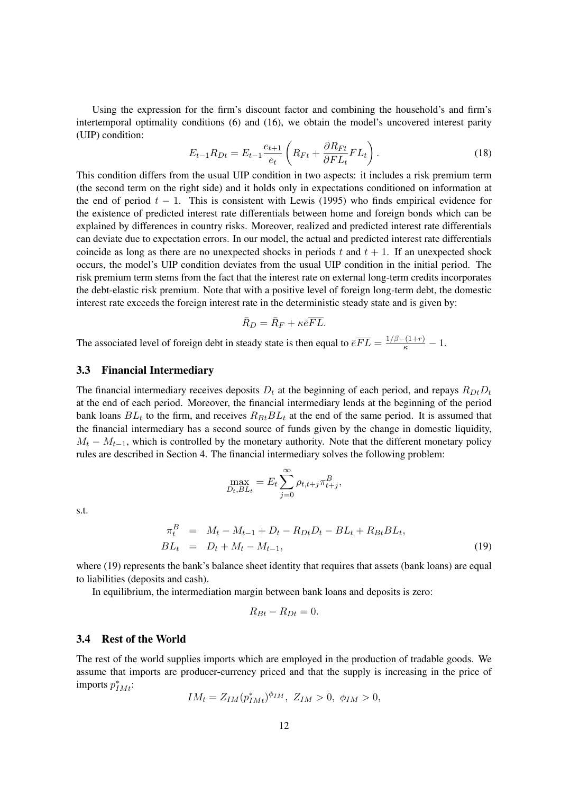Using the expression for the firm's discount factor and combining the household's and firm's intertemporal optimality conditions (6) and (16), we obtain the model's uncovered interest parity (UIP) condition:

$$
E_{t-1}R_{Dt} = E_{t-1}\frac{e_{t+1}}{e_t}\left(R_{Ft} + \frac{\partial R_{Ft}}{\partial FL_t}FL_t\right).
$$
\n(18)

This condition differs from the usual UIP condition in two aspects: it includes a risk premium term (the second term on the right side) and it holds only in expectations conditioned on information at the end of period  $t - 1$ . This is consistent with Lewis (1995) who finds empirical evidence for the existence of predicted interest rate differentials between home and foreign bonds which can be explained by differences in country risks. Moreover, realized and predicted interest rate differentials can deviate due to expectation errors. In our model, the actual and predicted interest rate differentials coincide as long as there are no unexpected shocks in periods t and  $t + 1$ . If an unexpected shock occurs, the model's UIP condition deviates from the usual UIP condition in the initial period. The risk premium term stems from the fact that the interest rate on external long-term credits incorporates the debt-elastic risk premium. Note that with a positive level of foreign long-term debt, the domestic interest rate exceeds the foreign interest rate in the deterministic steady state and is given by:

$$
\bar{R}_D = \bar{R}_F + \kappa \bar{e} \overline{FL}.
$$

The associated level of foreign debt in steady state is then equal to  $\overline{eFL} = \frac{1/\beta - (1+r)}{\kappa} - 1$ .

#### 3.3 Financial Intermediary

The financial intermediary receives deposits  $D_t$  at the beginning of each period, and repays  $R_{Dt}D_t$ at the end of each period. Moreover, the financial intermediary lends at the beginning of the period bank loans  $BL_t$  to the firm, and receives  $R_{Bt}BL_t$  at the end of the same period. It is assumed that the financial intermediary has a second source of funds given by the change in domestic liquidity,  $M_t - M_{t-1}$ , which is controlled by the monetary authority. Note that the different monetary policy rules are described in Section 4. The financial intermediary solves the following problem:

$$
\max_{D_t, BL_t} = E_t \sum_{j=0}^{\infty} \rho_{t,t+j} \pi_{t+j}^B,
$$

s.t.

$$
\pi_t^B = M_t - M_{t-1} + D_t - R_{Dt}D_t - BL_t + R_{Bt}BL_t, BL_t = D_t + M_t - M_{t-1},
$$
\n(19)

where (19) represents the bank's balance sheet identity that requires that assets (bank loans) are equal to liabilities (deposits and cash).

In equilibrium, the intermediation margin between bank loans and deposits is zero:

$$
R_{Bt} - R_{Dt} = 0.
$$

#### 3.4 Rest of the World

The rest of the world supplies imports which are employed in the production of tradable goods. We assume that imports are producer-currency priced and that the supply is increasing in the price of imports  $p_{IMt}^*$ :

$$
IM_t = Z_{IM}(p_{IMt}^*)^{\phi_{IM}}, Z_{IM} > 0, \ \phi_{IM} > 0,
$$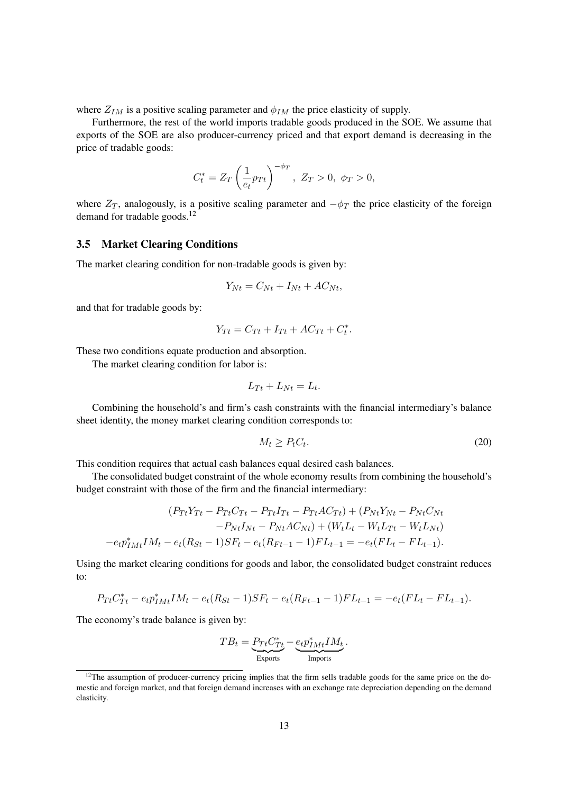where  $Z_{IM}$  is a positive scaling parameter and  $\phi_{IM}$  the price elasticity of supply.

Furthermore, the rest of the world imports tradable goods produced in the SOE. We assume that exports of the SOE are also producer-currency priced and that export demand is decreasing in the price of tradable goods:

$$
C_t^* = Z_T \left(\frac{1}{e_t} p_{Tt}\right)^{-\phi_T}, Z_T > 0, \phi_T > 0,
$$

where  $Z_T$ , analogously, is a positive scaling parameter and  $-\phi_T$  the price elasticity of the foreign demand for tradable goods.<sup>12</sup>

#### 3.5 Market Clearing Conditions

The market clearing condition for non-tradable goods is given by:

$$
Y_{Nt} = C_{Nt} + I_{Nt} + AC_{Nt},
$$

and that for tradable goods by:

$$
Y_{Tt} = C_{Tt} + I_{Tt} + AC_{Tt} + C_t^*.
$$

These two conditions equate production and absorption.

The market clearing condition for labor is:

$$
L_{Tt} + L_{Nt} = L_t.
$$

Combining the household's and firm's cash constraints with the financial intermediary's balance sheet identity, the money market clearing condition corresponds to:

$$
M_t \ge P_t C_t. \tag{20}
$$

This condition requires that actual cash balances equal desired cash balances.

The consolidated budget constraint of the whole economy results from combining the household's budget constraint with those of the firm and the financial intermediary:

$$
(P_{Tt}Y_{Tt} - P_{Tt}C_{Tt} - P_{Tt}I_{Tt} - P_{Tt}AC_{Tt}) + (P_{Nt}Y_{Nt} - P_{Nt}C_{Nt} - P_{Nt}I_{Nt} - P_{Nt}AC_{Nt}) + (W_tL_t - W_tL_{Tt} - W_tL_{Nt})
$$

$$
-e_t p_{IMt}^* IM_t - e_t(R_{St} - 1)SF_t - e_t(R_{Ft-1} - 1)FL_{t-1} = -e_t(FL_t - FL_{t-1}).
$$

Using the market clearing conditions for goods and labor, the consolidated budget constraint reduces to:

$$
P_{Tt}C_{Tt}^* - e_t p_{IMt}^* IM_t - e_t (R_{St} - 1)SF_t - e_t (R_{Ft-1} - 1)FL_{t-1} = -e_t (FL_t - FL_{t-1}).
$$

The economy's trade balance is given by:

$$
TB_t = \underbrace{P_{Tt}C^*_{Tt}}_{\text{Exports}} - \underbrace{e_t p^*_{IMt} IM_t}_{\text{Imports}}.
$$

 $12$ The assumption of producer-currency pricing implies that the firm sells tradable goods for the same price on the domestic and foreign market, and that foreign demand increases with an exchange rate depreciation depending on the demand elasticity.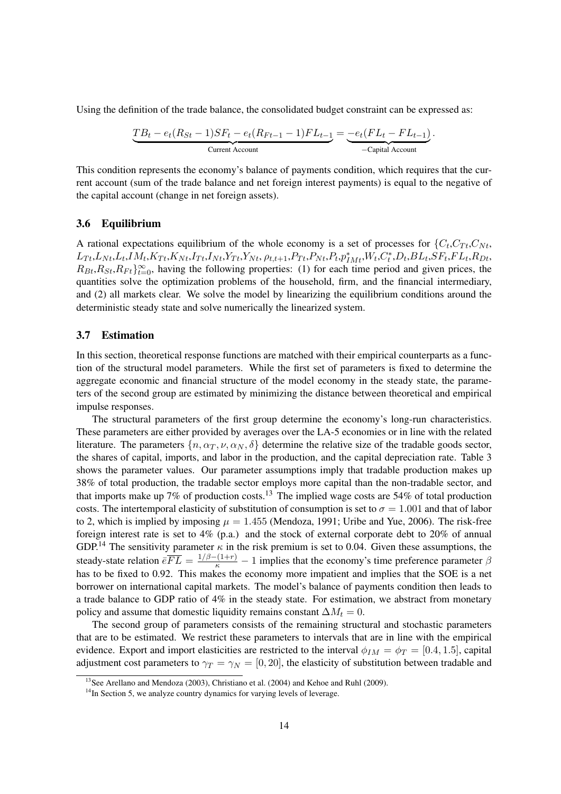Using the definition of the trade balance, the consolidated budget constraint can be expressed as:

$$
\underbrace{TB_t - e_t(R_{St}-1)SF_t - e_t(R_{Ft-1}-1)FL_{t-1}}_{\text{Current Account}} = \underbrace{-e_t(FL_t - FL_{t-1})}_{\text{-Capital Account}}
$$

.

This condition represents the economy's balance of payments condition, which requires that the current account (sum of the trade balance and net foreign interest payments) is equal to the negative of the capital account (change in net foreign assets).

#### 3.6 Equilibrium

A rational expectations equilibrium of the whole economy is a set of processes for {C<sup>t</sup> ,CT t,CN t,  $L_{Tt}, L_{Nt}, L_t, IM_t, K_{Tt}, K_{Nt}, I_{Tt}, I_{Nt}, Y_{Tt}, Y_{Nt}, \rho_{t,t+1}, P_{Tt}, P_{Nt}, P_t, p_{IMt}^*, W_t, C_t^*, D_t, BL_t, SF_t, FL_t, R_{Dt}, P_t, P_{NL}^*, P_{NL}^*, P_{NL}^*, P_{NL}^*, P_{NL}^*, P_{NL}^*, P_{NL}^*, P_{NL}^*, P_{NL}^*, P_{NL}^*, P_{NL}^*, P_{NL}^*, P_{NL}^*, P_{NL}^*, P_{NL}^*, P_{NL}^*, P_{NL}^*, P_{NL}^*, P_{NL}^*, P_{NL}^*,$  $R_{Bt}, R_{St}, R_{Ft}$ <sup>∞</sup><sub>t=0</sub>, having the following properties: (1) for each time period and given prices, the quantities solve the optimization problems of the household, firm, and the financial intermediary, and (2) all markets clear. We solve the model by linearizing the equilibrium conditions around the deterministic steady state and solve numerically the linearized system.

#### 3.7 Estimation

In this section, theoretical response functions are matched with their empirical counterparts as a function of the structural model parameters. While the first set of parameters is fixed to determine the aggregate economic and financial structure of the model economy in the steady state, the parameters of the second group are estimated by minimizing the distance between theoretical and empirical impulse responses.

The structural parameters of the first group determine the economy's long-run characteristics. These parameters are either provided by averages over the LA-5 economies or in line with the related literature. The parameters  $\{n, \alpha_T, \nu, \alpha_N, \delta\}$  determine the relative size of the tradable goods sector, the shares of capital, imports, and labor in the production, and the capital depreciation rate. Table 3 shows the parameter values. Our parameter assumptions imply that tradable production makes up 38% of total production, the tradable sector employs more capital than the non-tradable sector, and that imports make up 7% of production costs.<sup>13</sup> The implied wage costs are 54% of total production costs. The intertemporal elasticity of substitution of consumption is set to  $\sigma = 1.001$  and that of labor to 2, which is implied by imposing  $\mu = 1.455$  (Mendoza, 1991; Uribe and Yue, 2006). The risk-free foreign interest rate is set to  $4\%$  (p.a.) and the stock of external corporate debt to  $20\%$  of annual GDP.<sup>14</sup> The sensitivity parameter  $\kappa$  in the risk premium is set to 0.04. Given these assumptions, the steady-state relation  $\bar{eF L} = \frac{1/\beta - (1+r)}{\kappa} - 1$  implies that the economy's time preference parameter  $\beta$ has to be fixed to 0.92. This makes the economy more impatient and implies that the SOE is a net borrower on international capital markets. The model's balance of payments condition then leads to a trade balance to GDP ratio of 4% in the steady state. For estimation, we abstract from monetary policy and assume that domestic liquidity remains constant  $\Delta M_t = 0$ .

The second group of parameters consists of the remaining structural and stochastic parameters that are to be estimated. We restrict these parameters to intervals that are in line with the empirical evidence. Export and import elasticities are restricted to the interval  $\phi_{IM} = \phi_T = [0.4, 1.5]$ , capital adjustment cost parameters to  $\gamma_T = \gamma_N = [0, 20]$ , the elasticity of substitution between tradable and

 $13$ See Arellano and Mendoza (2003), Christiano et al. (2004) and Kehoe and Ruhl (2009).

 $14$ In Section 5, we analyze country dynamics for varying levels of leverage.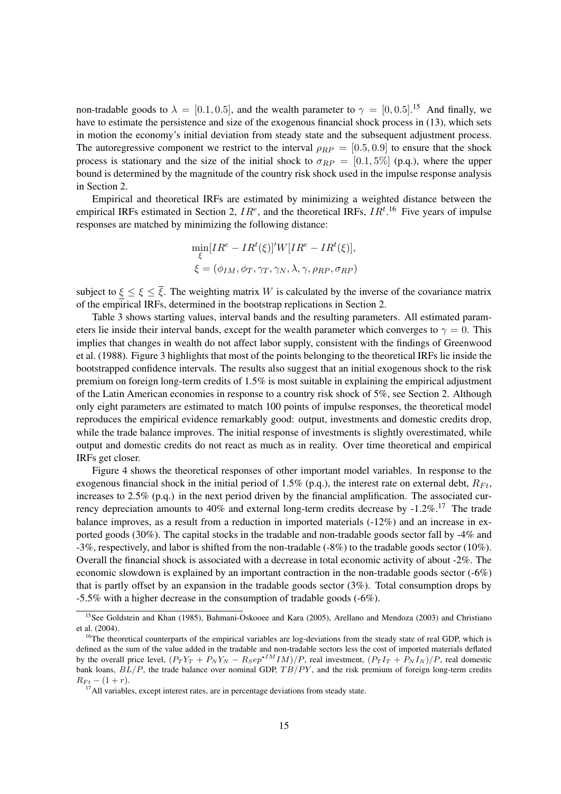non-tradable goods to  $\lambda = [0.1, 0.5]$ , and the wealth parameter to  $\gamma = [0, 0.5]$ .<sup>15</sup> And finally, we have to estimate the persistence and size of the exogenous financial shock process in (13), which sets in motion the economy's initial deviation from steady state and the subsequent adjustment process. The autoregressive component we restrict to the interval  $\rho_{RP} = [0.5, 0.9]$  to ensure that the shock process is stationary and the size of the initial shock to  $\sigma_{RP} = [0.1, 5\%]$  (p.q.), where the upper bound is determined by the magnitude of the country risk shock used in the impulse response analysis in Section 2.

Empirical and theoretical IRFs are estimated by minimizing a weighted distance between the empirical IRFs estimated in Section 2,  $IR^e$ , and the theoretical IRFs,  $IR^t$ .<sup>16</sup> Five years of impulse responses are matched by minimizing the following distance:

$$
\min_{\xi} [IR^e - IR^t(\xi)]'W[IR^e - IR^t(\xi)],
$$
  

$$
\xi = (\phi_{IM}, \phi_T, \gamma_T, \gamma_N, \lambda, \gamma, \rho_{RP}, \sigma_{RP})
$$

subject to  $\xi \leq \xi \leq \overline{\xi}$ . The weighting matrix W is calculated by the inverse of the covariance matrix of the empirical IRFs, determined in the bootstrap replications in Section 2.

Table 3 shows starting values, interval bands and the resulting parameters. All estimated parameters lie inside their interval bands, except for the wealth parameter which converges to  $\gamma = 0$ . This implies that changes in wealth do not affect labor supply, consistent with the findings of Greenwood et al. (1988). Figure 3 highlights that most of the points belonging to the theoretical IRFs lie inside the bootstrapped confidence intervals. The results also suggest that an initial exogenous shock to the risk premium on foreign long-term credits of 1.5% is most suitable in explaining the empirical adjustment of the Latin American economies in response to a country risk shock of 5%, see Section 2. Although only eight parameters are estimated to match 100 points of impulse responses, the theoretical model reproduces the empirical evidence remarkably good: output, investments and domestic credits drop, while the trade balance improves. The initial response of investments is slightly overestimated, while output and domestic credits do not react as much as in reality. Over time theoretical and empirical IRFs get closer.

Figure 4 shows the theoretical responses of other important model variables. In response to the exogenous financial shock in the initial period of 1.5% (p.q.), the interest rate on external debt,  $R_{Ft}$ , increases to 2.5% (p.q.) in the next period driven by the financial amplification. The associated currency depreciation amounts to 40% and external long-term credits decrease by  $-1.2\%$ .<sup>17</sup> The trade balance improves, as a result from a reduction in imported materials (-12%) and an increase in exported goods (30%). The capital stocks in the tradable and non-tradable goods sector fall by -4% and -3%, respectively, and labor is shifted from the non-tradable (-8%) to the tradable goods sector (10%). Overall the financial shock is associated with a decrease in total economic activity of about -2%. The economic slowdown is explained by an important contraction in the non-tradable goods sector  $(-6%)$ that is partly offset by an expansion in the tradable goods sector (3%). Total consumption drops by -5.5% with a higher decrease in the consumption of tradable goods (-6%).

<sup>&</sup>lt;sup>15</sup>See Goldstein and Khan (1985), Bahmani-Oskooee and Kara (2005), Arellano and Mendoza (2003) and Christiano et al. (2004).

 $<sup>16</sup>$ The theoretical counterparts of the empirical variables are log-deviations from the steady state of real GDP, which is</sup> defined as the sum of the value added in the tradable and non-tradable sectors less the cost of imported materials deflated by the overall price level,  $(P_T Y_T + P_N Y_N - R_S e p^{t} M I M)/P$ , real investment,  $(P_T I_T + P_N I_N)/P$ , real domestic bank loans,  $BL/P$ , the trade balance over nominal GDP,  $TB/PY$ , and the risk premium of foreign long-term credits  $R_{Ft} - (1+r).$ 

 $17$ All variables, except interest rates, are in percentage deviations from steady state.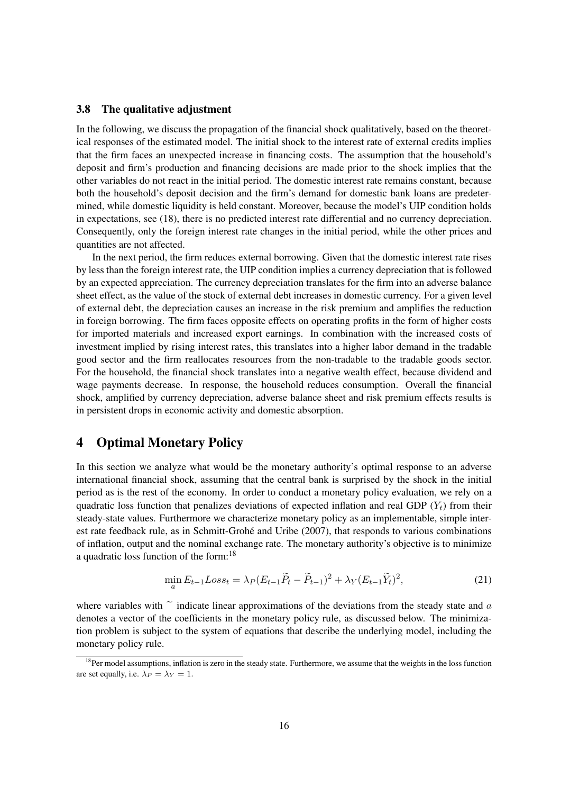#### 3.8 The qualitative adjustment

In the following, we discuss the propagation of the financial shock qualitatively, based on the theoretical responses of the estimated model. The initial shock to the interest rate of external credits implies that the firm faces an unexpected increase in financing costs. The assumption that the household's deposit and firm's production and financing decisions are made prior to the shock implies that the other variables do not react in the initial period. The domestic interest rate remains constant, because both the household's deposit decision and the firm's demand for domestic bank loans are predetermined, while domestic liquidity is held constant. Moreover, because the model's UIP condition holds in expectations, see (18), there is no predicted interest rate differential and no currency depreciation. Consequently, only the foreign interest rate changes in the initial period, while the other prices and quantities are not affected.

In the next period, the firm reduces external borrowing. Given that the domestic interest rate rises by less than the foreign interest rate, the UIP condition implies a currency depreciation that is followed by an expected appreciation. The currency depreciation translates for the firm into an adverse balance sheet effect, as the value of the stock of external debt increases in domestic currency. For a given level of external debt, the depreciation causes an increase in the risk premium and amplifies the reduction in foreign borrowing. The firm faces opposite effects on operating profits in the form of higher costs for imported materials and increased export earnings. In combination with the increased costs of investment implied by rising interest rates, this translates into a higher labor demand in the tradable good sector and the firm reallocates resources from the non-tradable to the tradable goods sector. For the household, the financial shock translates into a negative wealth effect, because dividend and wage payments decrease. In response, the household reduces consumption. Overall the financial shock, amplified by currency depreciation, adverse balance sheet and risk premium effects results is in persistent drops in economic activity and domestic absorption.

### 4 Optimal Monetary Policy

In this section we analyze what would be the monetary authority's optimal response to an adverse international financial shock, assuming that the central bank is surprised by the shock in the initial period as is the rest of the economy. In order to conduct a monetary policy evaluation, we rely on a quadratic loss function that penalizes deviations of expected inflation and real GDP  $(Y_t)$  from their steady-state values. Furthermore we characterize monetary policy as an implementable, simple interest rate feedback rule, as in Schmitt-Grohé and Uribe (2007), that responds to various combinations of inflation, output and the nominal exchange rate. The monetary authority's objective is to minimize a quadratic loss function of the form:<sup>18</sup>

$$
\min_{a} E_{t-1} Loss_t = \lambda_P (E_{t-1} \tilde{P}_t - \tilde{P}_{t-1})^2 + \lambda_Y (E_{t-1} \tilde{Y}_t)^2, \tag{21}
$$

where variables with  $\tilde{ }$  indicate linear approximations of the deviations from the steady state and a denotes a vector of the coefficients in the monetary policy rule, as discussed below. The minimization problem is subject to the system of equations that describe the underlying model, including the monetary policy rule.

 $18$ Per model assumptions, inflation is zero in the steady state. Furthermore, we assume that the weights in the loss function are set equally, i.e.  $\lambda_P = \lambda_Y = 1$ .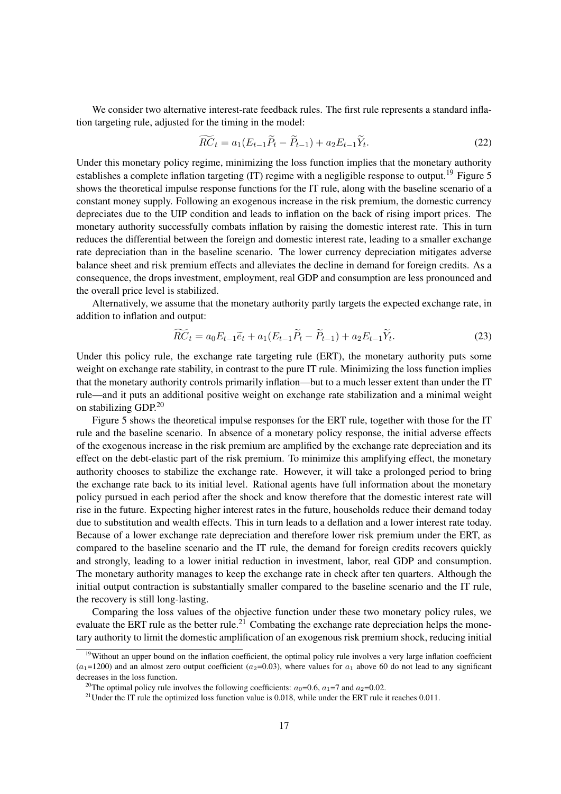We consider two alternative interest-rate feedback rules. The first rule represents a standard inflation targeting rule, adjusted for the timing in the model:

$$
\widetilde{RC}_t = a_1(E_{t-1}\widetilde{P}_t - \widetilde{P}_{t-1}) + a_2E_{t-1}\widetilde{Y}_t.
$$
\n(22)

Under this monetary policy regime, minimizing the loss function implies that the monetary authority establishes a complete inflation targeting (IT) regime with a negligible response to output.<sup>19</sup> Figure 5 shows the theoretical impulse response functions for the IT rule, along with the baseline scenario of a constant money supply. Following an exogenous increase in the risk premium, the domestic currency depreciates due to the UIP condition and leads to inflation on the back of rising import prices. The monetary authority successfully combats inflation by raising the domestic interest rate. This in turn reduces the differential between the foreign and domestic interest rate, leading to a smaller exchange rate depreciation than in the baseline scenario. The lower currency depreciation mitigates adverse balance sheet and risk premium effects and alleviates the decline in demand for foreign credits. As a consequence, the drops investment, employment, real GDP and consumption are less pronounced and the overall price level is stabilized.

Alternatively, we assume that the monetary authority partly targets the expected exchange rate, in addition to inflation and output:

$$
\widetilde{RC}_t = a_0 E_{t-1} \widetilde{e}_t + a_1 (E_{t-1} \widetilde{P}_t - \widetilde{P}_{t-1}) + a_2 E_{t-1} \widetilde{Y}_t.
$$
\n(23)

Under this policy rule, the exchange rate targeting rule (ERT), the monetary authority puts some weight on exchange rate stability, in contrast to the pure IT rule. Minimizing the loss function implies that the monetary authority controls primarily inflation—but to a much lesser extent than under the IT rule—and it puts an additional positive weight on exchange rate stabilization and a minimal weight on stabilizing GDP.<sup>20</sup>

Figure 5 shows the theoretical impulse responses for the ERT rule, together with those for the IT rule and the baseline scenario. In absence of a monetary policy response, the initial adverse effects of the exogenous increase in the risk premium are amplified by the exchange rate depreciation and its effect on the debt-elastic part of the risk premium. To minimize this amplifying effect, the monetary authority chooses to stabilize the exchange rate. However, it will take a prolonged period to bring the exchange rate back to its initial level. Rational agents have full information about the monetary policy pursued in each period after the shock and know therefore that the domestic interest rate will rise in the future. Expecting higher interest rates in the future, households reduce their demand today due to substitution and wealth effects. This in turn leads to a deflation and a lower interest rate today. Because of a lower exchange rate depreciation and therefore lower risk premium under the ERT, as compared to the baseline scenario and the IT rule, the demand for foreign credits recovers quickly and strongly, leading to a lower initial reduction in investment, labor, real GDP and consumption. The monetary authority manages to keep the exchange rate in check after ten quarters. Although the initial output contraction is substantially smaller compared to the baseline scenario and the IT rule, the recovery is still long-lasting.

Comparing the loss values of the objective function under these two monetary policy rules, we evaluate the ERT rule as the better rule.<sup>21</sup> Combating the exchange rate depreciation helps the monetary authority to limit the domestic amplification of an exogenous risk premium shock, reducing initial

<sup>&</sup>lt;sup>19</sup>Without an upper bound on the inflation coefficient, the optimal policy rule involves a very large inflation coefficient  $(a_1=1200)$  and an almost zero output coefficient  $(a_2=0.03)$ , where values for  $a_1$  above 60 do not lead to any significant decreases in the loss function.

<sup>&</sup>lt;sup>20</sup>The optimal policy rule involves the following coefficients:  $a_0=0.6$ ,  $a_1=7$  and  $a_2=0.02$ .

<sup>&</sup>lt;sup>21</sup>Under the IT rule the optimized loss function value is 0.018, while under the ERT rule it reaches 0.011.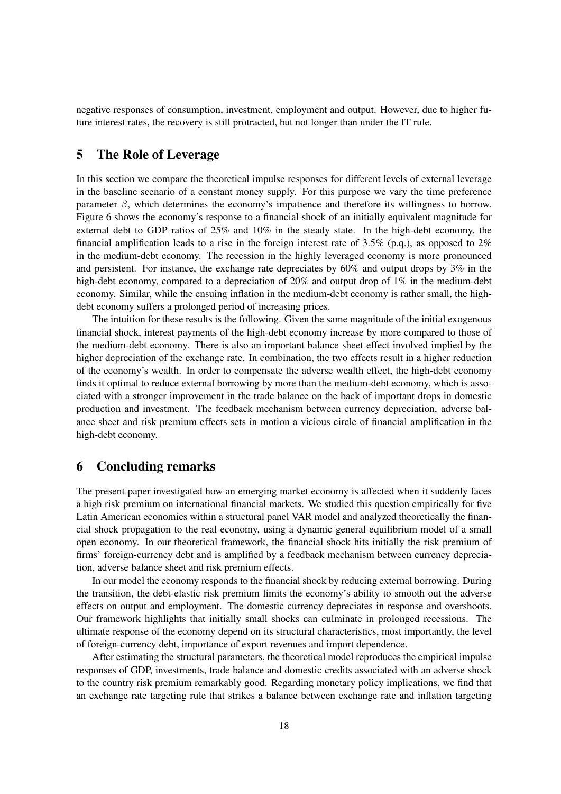negative responses of consumption, investment, employment and output. However, due to higher future interest rates, the recovery is still protracted, but not longer than under the IT rule.

## 5 The Role of Leverage

In this section we compare the theoretical impulse responses for different levels of external leverage in the baseline scenario of a constant money supply. For this purpose we vary the time preference parameter  $\beta$ , which determines the economy's impatience and therefore its willingness to borrow. Figure 6 shows the economy's response to a financial shock of an initially equivalent magnitude for external debt to GDP ratios of 25% and 10% in the steady state. In the high-debt economy, the financial amplification leads to a rise in the foreign interest rate of 3.5% (p.q.), as opposed to  $2\%$ in the medium-debt economy. The recession in the highly leveraged economy is more pronounced and persistent. For instance, the exchange rate depreciates by 60% and output drops by 3% in the high-debt economy, compared to a depreciation of 20% and output drop of 1% in the medium-debt economy. Similar, while the ensuing inflation in the medium-debt economy is rather small, the highdebt economy suffers a prolonged period of increasing prices.

The intuition for these results is the following. Given the same magnitude of the initial exogenous financial shock, interest payments of the high-debt economy increase by more compared to those of the medium-debt economy. There is also an important balance sheet effect involved implied by the higher depreciation of the exchange rate. In combination, the two effects result in a higher reduction of the economy's wealth. In order to compensate the adverse wealth effect, the high-debt economy finds it optimal to reduce external borrowing by more than the medium-debt economy, which is associated with a stronger improvement in the trade balance on the back of important drops in domestic production and investment. The feedback mechanism between currency depreciation, adverse balance sheet and risk premium effects sets in motion a vicious circle of financial amplification in the high-debt economy.

#### 6 Concluding remarks

The present paper investigated how an emerging market economy is affected when it suddenly faces a high risk premium on international financial markets. We studied this question empirically for five Latin American economies within a structural panel VAR model and analyzed theoretically the financial shock propagation to the real economy, using a dynamic general equilibrium model of a small open economy. In our theoretical framework, the financial shock hits initially the risk premium of firms' foreign-currency debt and is amplified by a feedback mechanism between currency depreciation, adverse balance sheet and risk premium effects.

In our model the economy responds to the financial shock by reducing external borrowing. During the transition, the debt-elastic risk premium limits the economy's ability to smooth out the adverse effects on output and employment. The domestic currency depreciates in response and overshoots. Our framework highlights that initially small shocks can culminate in prolonged recessions. The ultimate response of the economy depend on its structural characteristics, most importantly, the level of foreign-currency debt, importance of export revenues and import dependence.

After estimating the structural parameters, the theoretical model reproduces the empirical impulse responses of GDP, investments, trade balance and domestic credits associated with an adverse shock to the country risk premium remarkably good. Regarding monetary policy implications, we find that an exchange rate targeting rule that strikes a balance between exchange rate and inflation targeting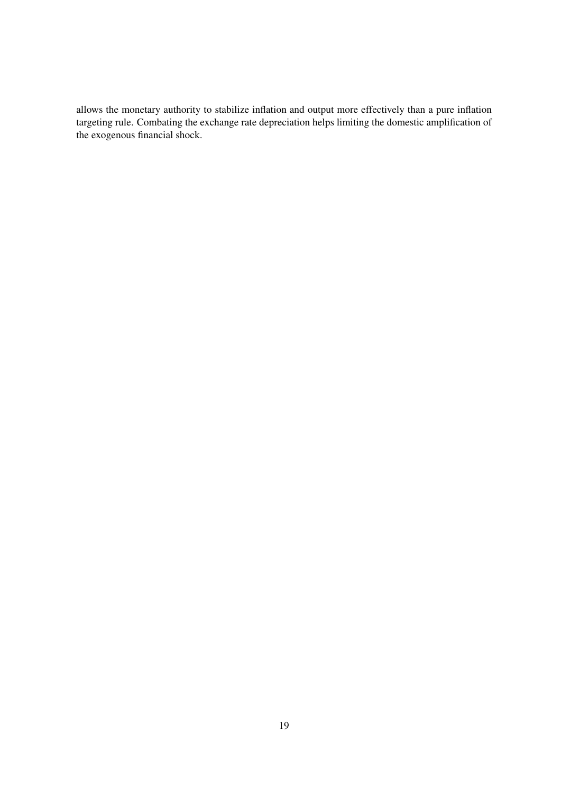allows the monetary authority to stabilize inflation and output more effectively than a pure inflation targeting rule. Combating the exchange rate depreciation helps limiting the domestic amplification of the exogenous financial shock.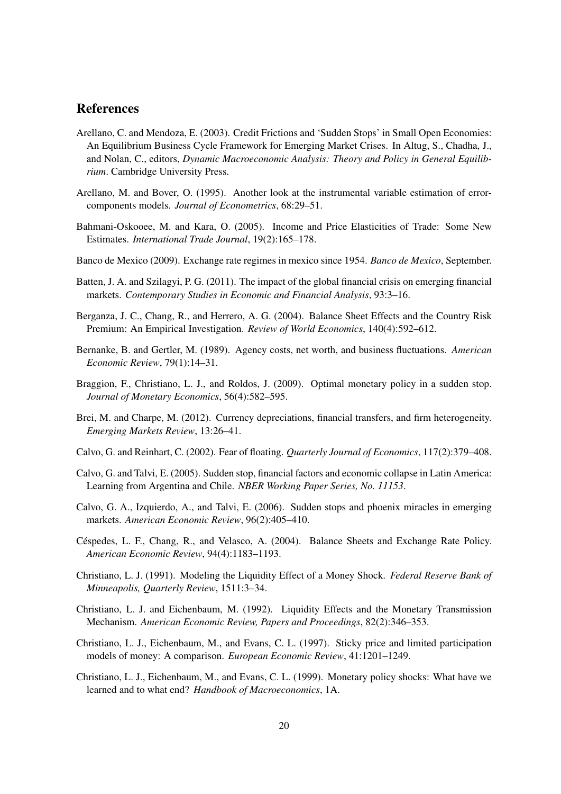## References

- Arellano, C. and Mendoza, E. (2003). Credit Frictions and 'Sudden Stops' in Small Open Economies: An Equilibrium Business Cycle Framework for Emerging Market Crises. In Altug, S., Chadha, J., and Nolan, C., editors, *Dynamic Macroeconomic Analysis: Theory and Policy in General Equilibrium*. Cambridge University Press.
- Arellano, M. and Bover, O. (1995). Another look at the instrumental variable estimation of errorcomponents models. *Journal of Econometrics*, 68:29–51.
- Bahmani-Oskooee, M. and Kara, O. (2005). Income and Price Elasticities of Trade: Some New Estimates. *International Trade Journal*, 19(2):165–178.
- Banco de Mexico (2009). Exchange rate regimes in mexico since 1954. *Banco de Mexico*, September.
- Batten, J. A. and Szilagyi, P. G. (2011). The impact of the global financial crisis on emerging financial markets. *Contemporary Studies in Economic and Financial Analysis*, 93:3–16.
- Berganza, J. C., Chang, R., and Herrero, A. G. (2004). Balance Sheet Effects and the Country Risk Premium: An Empirical Investigation. *Review of World Economics*, 140(4):592–612.
- Bernanke, B. and Gertler, M. (1989). Agency costs, net worth, and business fluctuations. *American Economic Review*, 79(1):14–31.
- Braggion, F., Christiano, L. J., and Roldos, J. (2009). Optimal monetary policy in a sudden stop. *Journal of Monetary Economics*, 56(4):582–595.
- Brei, M. and Charpe, M. (2012). Currency depreciations, financial transfers, and firm heterogeneity. *Emerging Markets Review*, 13:26–41.
- Calvo, G. and Reinhart, C. (2002). Fear of floating. *Quarterly Journal of Economics*, 117(2):379–408.
- Calvo, G. and Talvi, E. (2005). Sudden stop, financial factors and economic collapse in Latin America: Learning from Argentina and Chile. *NBER Working Paper Series, No. 11153*.
- Calvo, G. A., Izquierdo, A., and Talvi, E. (2006). Sudden stops and phoenix miracles in emerging markets. *American Economic Review*, 96(2):405–410.
- Céspedes, L. F., Chang, R., and Velasco, A. (2004). Balance Sheets and Exchange Rate Policy. *American Economic Review*, 94(4):1183–1193.
- Christiano, L. J. (1991). Modeling the Liquidity Effect of a Money Shock. *Federal Reserve Bank of Minneapolis, Quarterly Review*, 1511:3–34.
- Christiano, L. J. and Eichenbaum, M. (1992). Liquidity Effects and the Monetary Transmission Mechanism. *American Economic Review, Papers and Proceedings*, 82(2):346–353.
- Christiano, L. J., Eichenbaum, M., and Evans, C. L. (1997). Sticky price and limited participation models of money: A comparison. *European Economic Review*, 41:1201–1249.
- Christiano, L. J., Eichenbaum, M., and Evans, C. L. (1999). Monetary policy shocks: What have we learned and to what end? *Handbook of Macroeconomics*, 1A.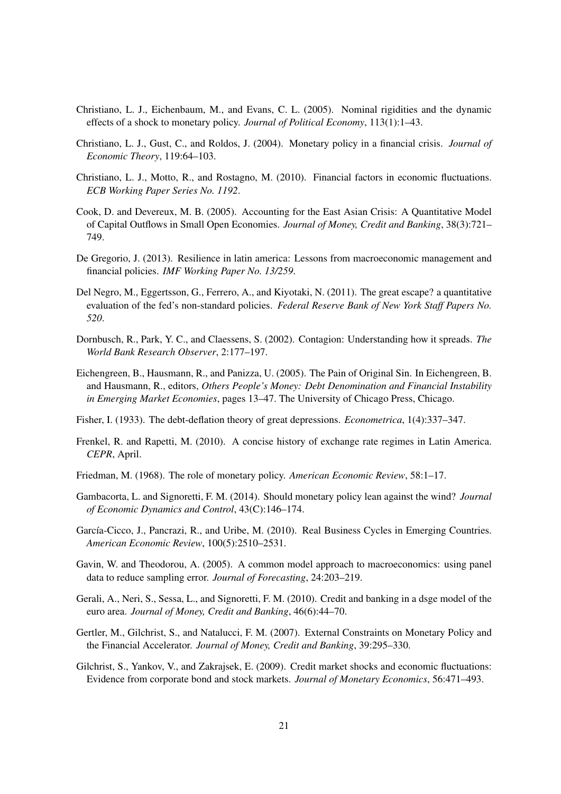- Christiano, L. J., Eichenbaum, M., and Evans, C. L. (2005). Nominal rigidities and the dynamic effects of a shock to monetary policy. *Journal of Political Economy*, 113(1):1–43.
- Christiano, L. J., Gust, C., and Roldos, J. (2004). Monetary policy in a financial crisis. *Journal of Economic Theory*, 119:64–103.
- Christiano, L. J., Motto, R., and Rostagno, M. (2010). Financial factors in economic fluctuations. *ECB Working Paper Series No. 1192*.
- Cook, D. and Devereux, M. B. (2005). Accounting for the East Asian Crisis: A Quantitative Model of Capital Outflows in Small Open Economies. *Journal of Money, Credit and Banking*, 38(3):721– 749.
- De Gregorio, J. (2013). Resilience in latin america: Lessons from macroeconomic management and financial policies. *IMF Working Paper No. 13/259*.
- Del Negro, M., Eggertsson, G., Ferrero, A., and Kiyotaki, N. (2011). The great escape? a quantitative evaluation of the fed's non-standard policies. *Federal Reserve Bank of New York Staff Papers No. 520*.
- Dornbusch, R., Park, Y. C., and Claessens, S. (2002). Contagion: Understanding how it spreads. *The World Bank Research Observer*, 2:177–197.
- Eichengreen, B., Hausmann, R., and Panizza, U. (2005). The Pain of Original Sin. In Eichengreen, B. and Hausmann, R., editors, *Others People's Money: Debt Denomination and Financial Instability in Emerging Market Economies*, pages 13–47. The University of Chicago Press, Chicago.
- Fisher, I. (1933). The debt-deflation theory of great depressions. *Econometrica*, 1(4):337–347.
- Frenkel, R. and Rapetti, M. (2010). A concise history of exchange rate regimes in Latin America. *CEPR*, April.
- Friedman, M. (1968). The role of monetary policy. *American Economic Review*, 58:1–17.
- Gambacorta, L. and Signoretti, F. M. (2014). Should monetary policy lean against the wind? *Journal of Economic Dynamics and Control*, 43(C):146–174.
- García-Cicco, J., Pancrazi, R., and Uribe, M. (2010). Real Business Cycles in Emerging Countries. *American Economic Review*, 100(5):2510–2531.
- Gavin, W. and Theodorou, A. (2005). A common model approach to macroeconomics: using panel data to reduce sampling error. *Journal of Forecasting*, 24:203–219.
- Gerali, A., Neri, S., Sessa, L., and Signoretti, F. M. (2010). Credit and banking in a dsge model of the euro area. *Journal of Money, Credit and Banking*, 46(6):44–70.
- Gertler, M., Gilchrist, S., and Natalucci, F. M. (2007). External Constraints on Monetary Policy and the Financial Accelerator. *Journal of Money, Credit and Banking*, 39:295–330.
- Gilchrist, S., Yankov, V., and Zakrajsek, E. (2009). Credit market shocks and economic fluctuations: Evidence from corporate bond and stock markets. *Journal of Monetary Economics*, 56:471–493.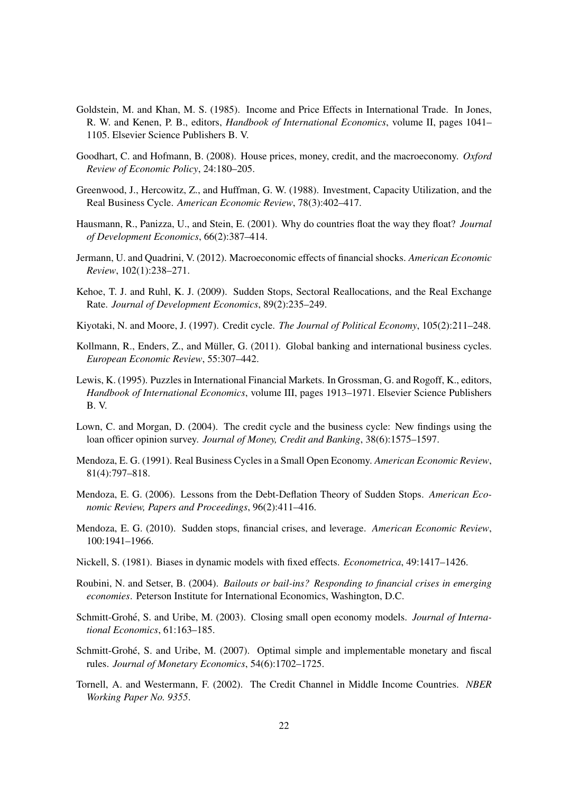- Goldstein, M. and Khan, M. S. (1985). Income and Price Effects in International Trade. In Jones, R. W. and Kenen, P. B., editors, *Handbook of International Economics*, volume II, pages 1041– 1105. Elsevier Science Publishers B. V.
- Goodhart, C. and Hofmann, B. (2008). House prices, money, credit, and the macroeconomy. *Oxford Review of Economic Policy*, 24:180–205.
- Greenwood, J., Hercowitz, Z., and Huffman, G. W. (1988). Investment, Capacity Utilization, and the Real Business Cycle. *American Economic Review*, 78(3):402–417.
- Hausmann, R., Panizza, U., and Stein, E. (2001). Why do countries float the way they float? *Journal of Development Economics*, 66(2):387–414.
- Jermann, U. and Quadrini, V. (2012). Macroeconomic effects of financial shocks. *American Economic Review*, 102(1):238–271.
- Kehoe, T. J. and Ruhl, K. J. (2009). Sudden Stops, Sectoral Reallocations, and the Real Exchange Rate. *Journal of Development Economics*, 89(2):235–249.
- Kiyotaki, N. and Moore, J. (1997). Credit cycle. *The Journal of Political Economy*, 105(2):211–248.
- Kollmann, R., Enders, Z., and Müller, G. (2011). Global banking and international business cycles. *European Economic Review*, 55:307–442.
- Lewis, K. (1995). Puzzles in International Financial Markets. In Grossman, G. and Rogoff, K., editors, *Handbook of International Economics*, volume III, pages 1913–1971. Elsevier Science Publishers B. V.
- Lown, C. and Morgan, D. (2004). The credit cycle and the business cycle: New findings using the loan officer opinion survey. *Journal of Money, Credit and Banking*, 38(6):1575–1597.
- Mendoza, E. G. (1991). Real Business Cycles in a Small Open Economy. *American Economic Review*, 81(4):797–818.
- Mendoza, E. G. (2006). Lessons from the Debt-Deflation Theory of Sudden Stops. *American Economic Review, Papers and Proceedings*, 96(2):411–416.
- Mendoza, E. G. (2010). Sudden stops, financial crises, and leverage. *American Economic Review*, 100:1941–1966.
- Nickell, S. (1981). Biases in dynamic models with fixed effects. *Econometrica*, 49:1417–1426.
- Roubini, N. and Setser, B. (2004). *Bailouts or bail-ins? Responding to financial crises in emerging economies*. Peterson Institute for International Economics, Washington, D.C.
- Schmitt-Grohé, S. and Uribe, M. (2003). Closing small open economy models. *Journal of International Economics*, 61:163–185.
- Schmitt-Grohé, S. and Uribe, M. (2007). Optimal simple and implementable monetary and fiscal rules. *Journal of Monetary Economics*, 54(6):1702–1725.
- Tornell, A. and Westermann, F. (2002). The Credit Channel in Middle Income Countries. *NBER Working Paper No. 9355*.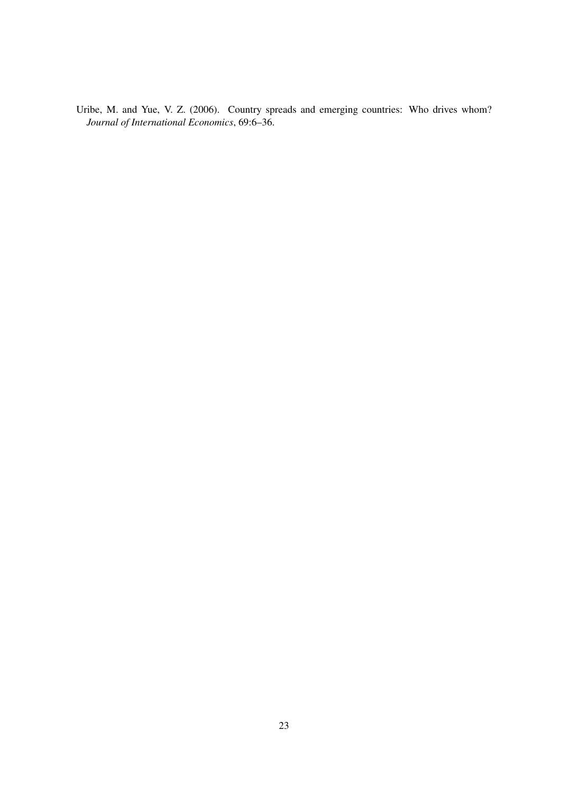Uribe, M. and Yue, V. Z. (2006). Country spreads and emerging countries: Who drives whom? *Journal of International Economics*, 69:6–36.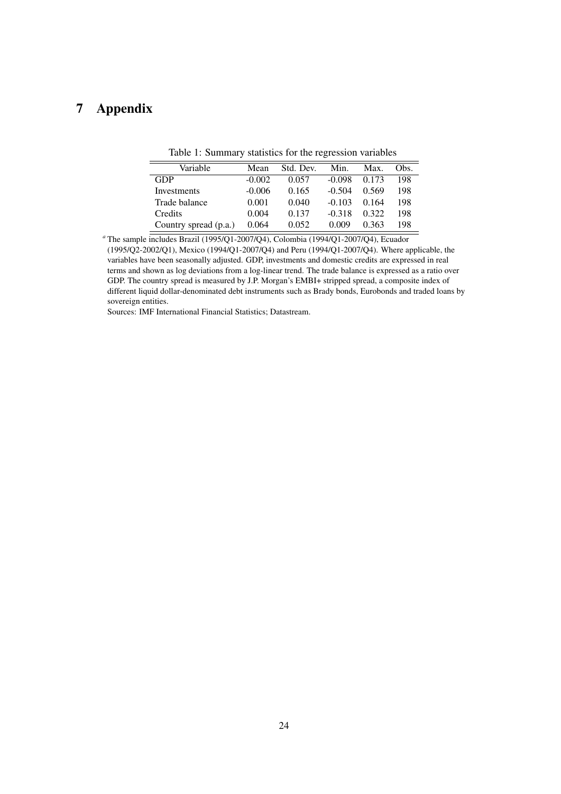## 7 Appendix

| Variable              | Mean     | Std. Dev. | Min.     | Max.  | Obs. |
|-----------------------|----------|-----------|----------|-------|------|
| GDP                   | $-0.002$ | 0.057     | $-0.098$ | 0.173 | 198  |
| Investments           | $-0.006$ | 0.165     | $-0.504$ | 0.569 | 198  |
| Trade balance         | 0.001    | 0.040     | $-0.103$ | 0.164 | 198  |
| Credits               | 0.004    | 0.137     | $-0.318$ | 0.322 | 198  |
| Country spread (p.a.) | 0.064    | 0.052     | 0.009    | 0.363 | 198  |

Table 1: Summary statistics for the regression variables

*<sup>a</sup>* The sample includes Brazil (1995/Q1-2007/Q4), Colombia (1994/Q1-2007/Q4), Ecuador (1995/Q2-2002/Q1), Mexico (1994/Q1-2007/Q4) and Peru (1994/Q1-2007/Q4). Where applicable, the variables have been seasonally adjusted. GDP, investments and domestic credits are expressed in real terms and shown as log deviations from a log-linear trend. The trade balance is expressed as a ratio over GDP. The country spread is measured by J.P. Morgan's EMBI+ stripped spread, a composite index of different liquid dollar-denominated debt instruments such as Brady bonds, Eurobonds and traded loans by sovereign entities.

Sources: IMF International Financial Statistics; Datastream.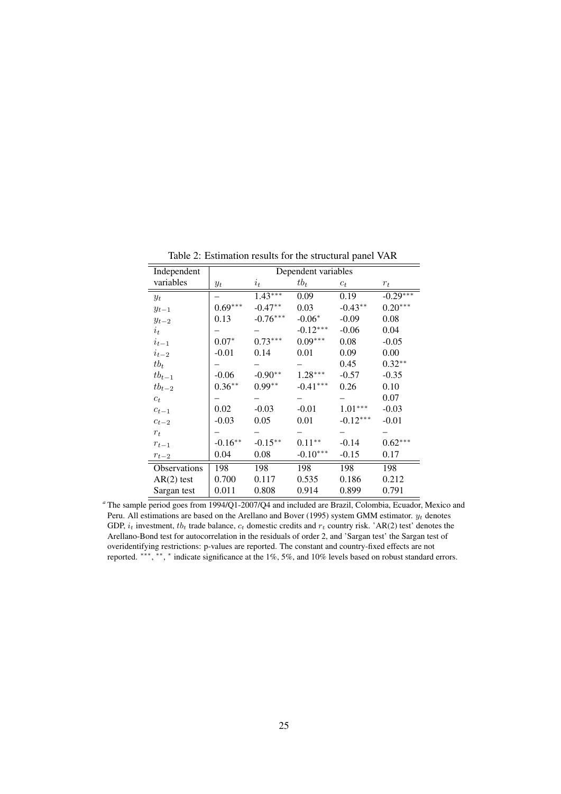| Independent         | Dependent variables |            |            |            |            |
|---------------------|---------------------|------------|------------|------------|------------|
| variables           | $y_t$               | $i_t$      | $tb_t$     | $c_t$      | $r_t$      |
| $y_t$               |                     | $1.43***$  | 0.09       | 0.19       | $-0.29***$ |
| $y_{t-1}$           | $0.69***$           | $-0.47**$  | 0.03       | $-0.43**$  | $0.20***$  |
| $y_{t-2}$           | 0.13                | $-0.76***$ | $-0.06*$   | $-0.09$    | 0.08       |
| $i_t$               |                     |            | $-0.12***$ | $-0.06$    | 0.04       |
| $i_{t-1}$           | $0.07*$             | $0.73***$  | $0.09***$  | 0.08       | $-0.05$    |
| $i_{t-2}$           | $-0.01$             | 0.14       | 0.01       | 0.09       | 0.00       |
| $tb_t$              |                     |            |            | 0.45       | $0.32**$   |
| $tb_{t-1}$          | $-0.06$             | $-0.90**$  | $1.28***$  | $-0.57$    | $-0.35$    |
| $tb_{t-2}$          | $0.36**$            | $0.99**$   | $-0.41***$ | 0.26       | 0.10       |
| $c_t$               |                     |            |            |            | 0.07       |
| $c_{t-1}$           | 0.02                | $-0.03$    | $-0.01$    | $1.01***$  | $-0.03$    |
| $c_{t-2}$           | $-0.03$             | 0.05       | 0.01       | $-0.12***$ | $-0.01$    |
| $r_t$               |                     |            |            |            |            |
| $r_{t-1}$           | $-0.16**$           | $-0.15**$  | $0.11**$   | $-0.14$    | $0.62***$  |
| $r_{t-2}$           | 0.04                | 0.08       | $-0.10***$ | $-0.15$    | 0.17       |
| <b>Observations</b> | 198                 | 198        | 198        | 198        | 198        |
| $AR(2)$ test        | 0.700               | 0.117      | 0.535      | 0.186      | 0.212      |
| Sargan test         | 0.011               | 0.808      | 0.914      | 0.899      | 0.791      |

Table 2: Estimation results for the structural panel VAR

<sup>a</sup> The sample period goes from 1994/Q1-2007/Q4 and included are Brazil, Colombia, Ecuador, Mexico and Peru. All estimations are based on the Arellano and Bover (1995) system GMM estimator.  $y_t$  denotes GDP,  $i_t$  investment,  $tb_t$  trade balance,  $c_t$  domestic credits and  $r_t$  country risk. 'AR(2) test' denotes the Arellano-Bond test for autocorrelation in the residuals of order 2, and 'Sargan test' the Sargan test of overidentifying restrictions: p-values are reported. The constant and country-fixed effects are not reported. \*\*\*, \*\*, \* indicate significance at the 1%, 5%, and 10% levels based on robust standard errors.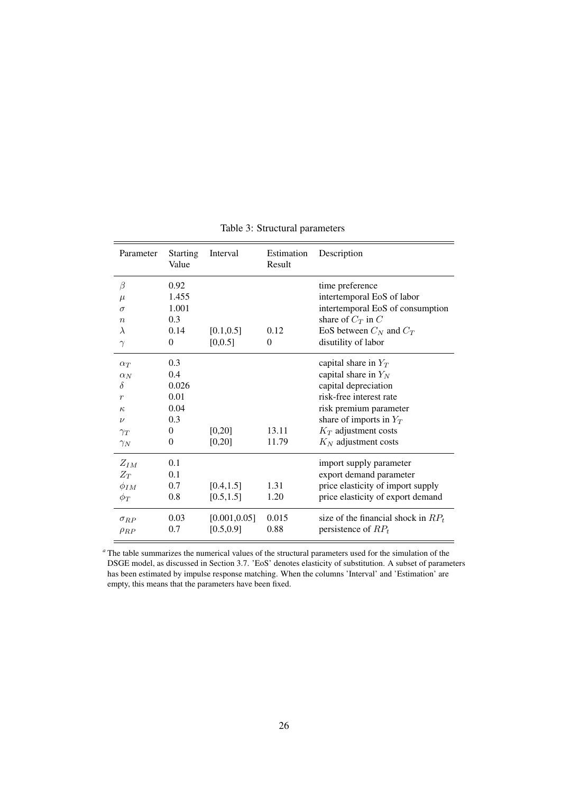| Parameter        | <b>Starting</b><br>Value | Interval      | Estimation<br>Result | Description                          |
|------------------|--------------------------|---------------|----------------------|--------------------------------------|
| $\beta$          | 0.92                     |               |                      | time preference                      |
| $\mu$            | 1.455                    |               |                      | intertemporal EoS of labor           |
| $\sigma$         | 1.001                    |               |                      | intertemporal EoS of consumption     |
| $\boldsymbol{n}$ | 0.3                      |               |                      | share of $C_T$ in $C$                |
| $\lambda$        | 0.14                     | [0.1, 0.5]    | 0.12                 | EoS between $C_N$ and $C_T$          |
| $\gamma$         | 0                        | [0,0.5]       | 0                    | disutility of labor                  |
| $\alpha_T$       | 0.3                      |               |                      | capital share in $Y_T$               |
| $\alpha_N$       | 0.4                      |               |                      | capital share in $Y_N$               |
| δ                | 0.026                    |               |                      | capital depreciation                 |
| $\boldsymbol{r}$ | 0.01                     |               |                      | risk-free interest rate              |
| $\kappa$         | 0.04                     |               |                      | risk premium parameter               |
| $\nu$            | 0.3                      |               |                      | share of imports in $Y_T$            |
| $\gamma_T$       | $\Omega$                 | [0, 20]       | 13.11                | $K_T$ adjustment costs               |
| $\gamma_N$       | 0                        | [0, 20]       | 11.79                | $K_N$ adjustment costs               |
| $Z_{IM}$         | 0.1                      |               |                      | import supply parameter              |
| $Z_T$            | 0.1                      |               |                      | export demand parameter              |
| $\phi_{IM}$      | 0.7                      | [0.4, 1.5]    | 1.31                 | price elasticity of import supply    |
| $\phi_T$         | 0.8                      | [0.5, 1.5]    | 1.20                 | price elasticity of export demand    |
| $\sigma_{RP}$    | 0.03                     | [0.001, 0.05] | 0.015                | size of the financial shock in $RPt$ |
| $\rho_{RP}$      | 0.7                      | [0.5, 0.9]    | 0.88                 | persistence of $RP_t$                |

Table 3: Structural parameters

*<sup>a</sup>* The table summarizes the numerical values of the structural parameters used for the simulation of the DSGE model, as discussed in Section 3.7. 'EoS' denotes elasticity of substitution. A subset of parameters has been estimated by impulse response matching. When the columns 'Interval' and 'Estimation' are empty, this means that the parameters have been fixed.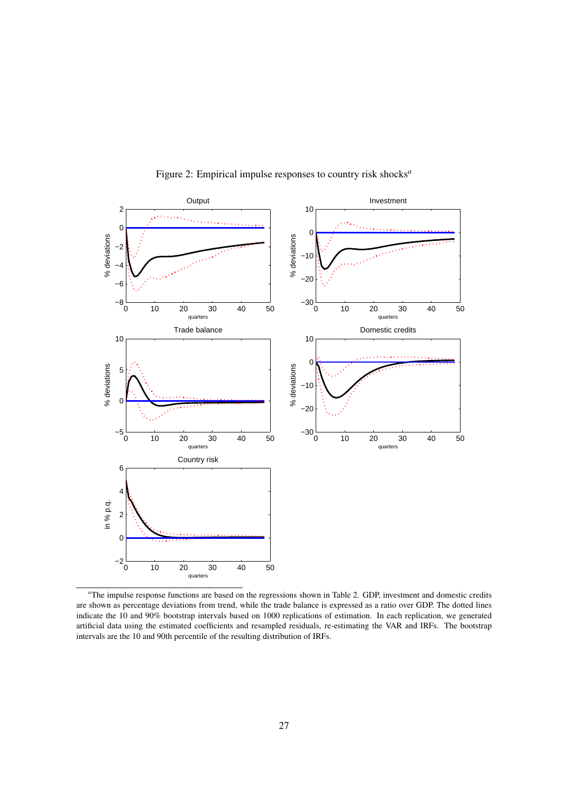

Figure 2: Empirical impulse responses to country risk shocks*<sup>a</sup>*

<sup>a</sup>The impulse response functions are based on the regressions shown in Table 2. GDP, investment and domestic credits are shown as percentage deviations from trend, while the trade balance is expressed as a ratio over GDP. The dotted lines indicate the 10 and 90% bootstrap intervals based on 1000 replications of estimation. In each replication, we generated artificial data using the estimated coefficients and resampled residuals, re-estimating the VAR and IRFs. The bootstrap intervals are the 10 and 90th percentile of the resulting distribution of IRFs.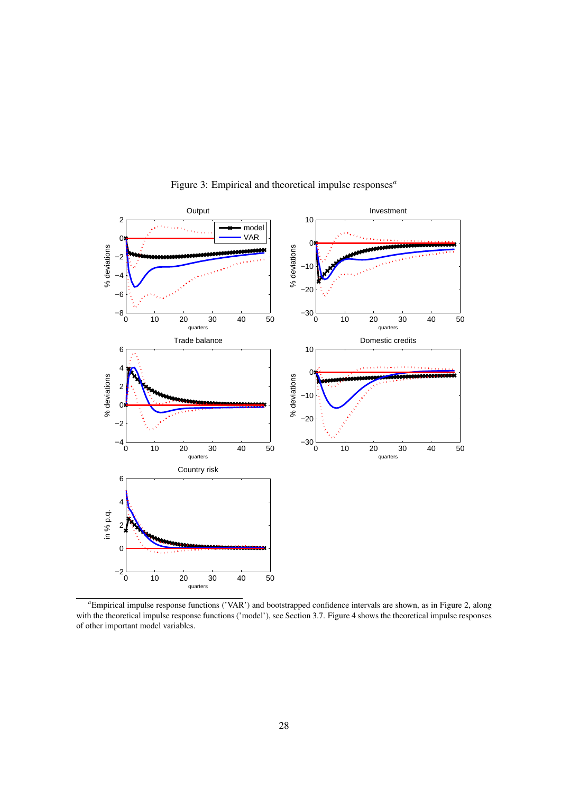

Figure 3: Empirical and theoretical impulse responses*<sup>a</sup>*

*<sup>a</sup>*Empirical impulse response functions ('VAR') and bootstrapped confidence intervals are shown, as in Figure 2, along with the theoretical impulse response functions ('model'), see Section 3.7. Figure 4 shows the theoretical impulse responses of other important model variables.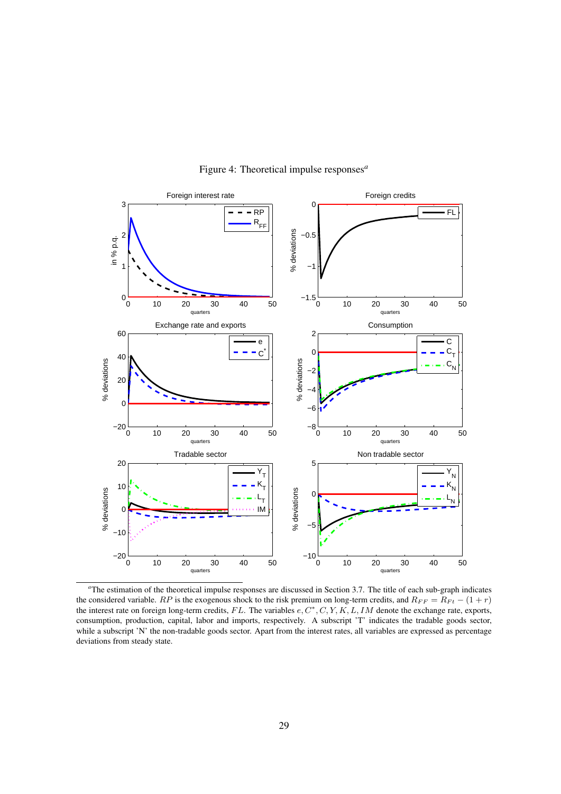

Figure 4: Theoretical impulse responses*<sup>a</sup>*

*<sup>a</sup>*The estimation of the theoretical impulse responses are discussed in Section 3.7. The title of each sub-graph indicates the considered variable. RP is the exogenous shock to the risk premium on long-term credits, and  $R_{FF} = R_{Ft} - (1 + r)$ the interest rate on foreign long-term credits,  $FL$ . The variables  $e, C^*, C, Y, K, L, IM$  denote the exchange rate, exports, consumption, production, capital, labor and imports, respectively. A subscript 'T' indicates the tradable goods sector, while a subscript 'N' the non-tradable goods sector. Apart from the interest rates, all variables are expressed as percentage deviations from steady state.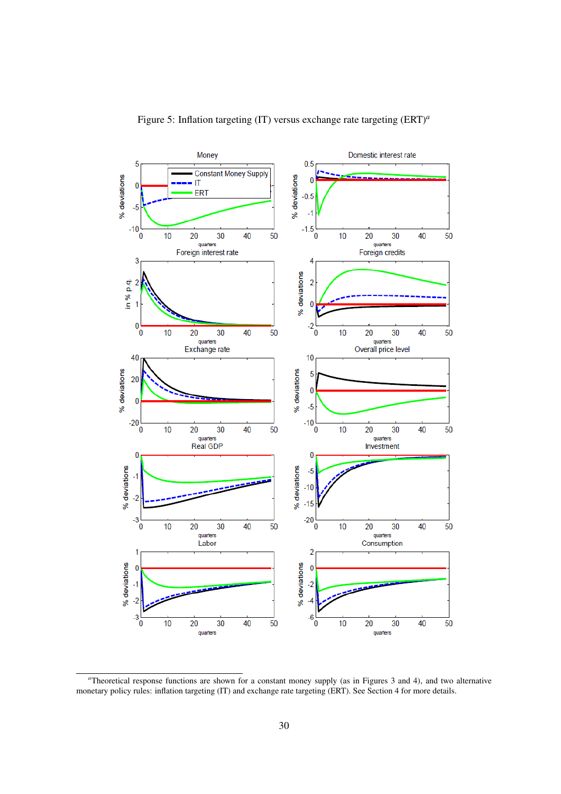

Figure 5: Inflation targeting (IT) versus exchange rate targeting (ERT)*<sup>a</sup>*

*<sup>a</sup>*Theoretical response functions are shown for a constant money supply (as in Figures 3 and 4), and two alternative monetary policy rules: inflation targeting (IT) and exchange rate targeting (ERT). See Section 4 for more details.